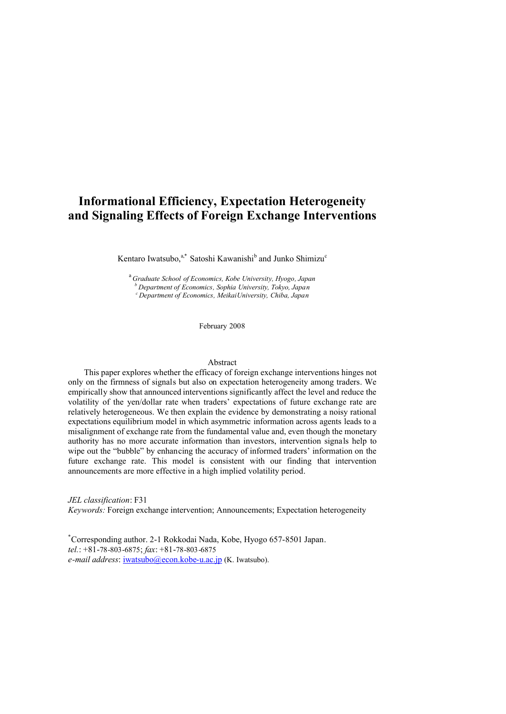# **Informational Efficiency, Expectation Heterogeneity and Signaling Effects of Foreign Exchange Interventions**

Kentaro Iwatsubo,<sup>a,\*</sup> Satoshi Kawanishi<sup>b</sup> and Junko Shimizu<sup>c</sup>

<sup>a</sup>*Graduate School of Economics, Kobe University, Hyogo, Japan <sup>b</sup> Department of Economics, Sophia University, Tokyo, Japan <sup>c</sup>Department of Economics, MeikaiUniversity, Chiba, Japan*

February 2008

#### Abstract

This paper explores whether the efficacy of foreign exchange interventions hinges not only on the firmness of signals but also on expectation heterogeneity among traders. We empirically show that announced interventions significantly affect the level and reduce the volatility of the yen/dollar rate when traders' expectations of future exchange rate are relatively heterogeneous. We then explain the evidence by demonstrating a noisy rational expectations equilibrium model in which asymmetric information across agents leads to a misalignment of exchange rate from the fundamental value and, even though the monetary authority has no more accurate information than investors, intervention signals help to wipe out the "bubble" by enhancing the accuracy of informed traders' information on the future exchange rate. This model is consistent with our finding that intervention announcements are more effective in a high implied volatility period.

*JEL classification*: F31 *Keywords:* Foreign exchange intervention; Announcements; Expectation heterogeneity

\*Corresponding author. 2-1 Rokkodai Nada, Kobe, Hyogo 657-8501 Japan. *tel.*: +81-78-803-6875; *fax*: +81-78-803-6875 *e-mail address*: *iwatsubo@econ.kobe-u.ac.jp* (K. Iwatsubo).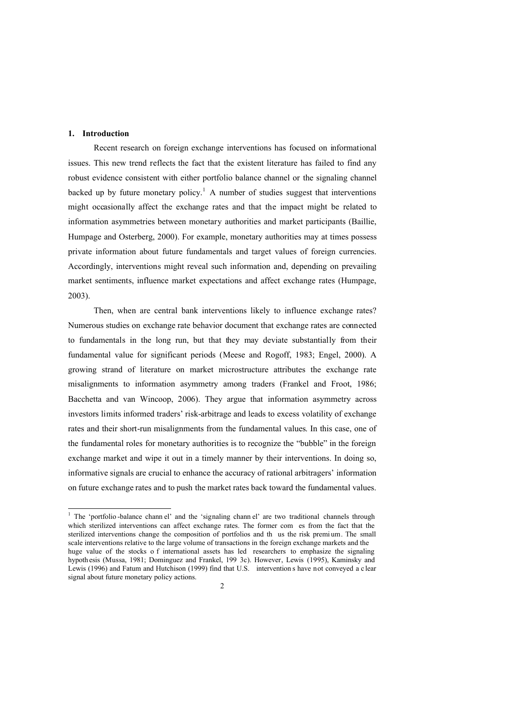#### **1. Introduction**

<u>.</u>

Recent research on foreign exchange interventions has focused on informational issues. This new trend reflects the fact that the existent literature has failed to find any robust evidence consistent with either portfolio balance channel or the signaling channel backed up by future monetary policy.<sup>1</sup> A number of studies suggest that interventions might occasionally affect the exchange rates and that the impact might be related to information asymmetries between monetary authorities and market participants (Baillie, Humpage and Osterberg, 2000). For example, monetary authorities may at times possess private information about future fundamentals and target values of foreign currencies. Accordingly, interventions might reveal such information and, depending on prevailing market sentiments, influence market expectations and affect exchange rates (Humpage, 2003).

Then, when are central bank interventions likely to influence exchange rates? Numerous studies on exchange rate behavior document that exchange rates are connected to fundamentals in the long run, but that they may deviate substantially from their fundamental value for significant periods (Meese and Rogoff, 1983; Engel, 2000). A growing strand of literature on market microstructure attributes the exchange rate misalignments to information asymmetry among traders (Frankel and Froot, 1986; Bacchetta and van Wincoop, 2006). They argue that information asymmetry across investors limits informed traders' risk-arbitrage and leads to excess volatility of exchange rates and their short-run misalignments from the fundamental values. In this case, one of the fundamental roles for monetary authorities is to recognize the "bubble" in the foreign exchange market and wipe it out in a timely manner by their interventions. In doing so, informative signals are crucial to enhance the accuracy of rational arbitragers' information on future exchange rates and to push the market rates back toward the fundamental values.

<sup>&</sup>lt;sup>1</sup> The 'portfolio-balance chann el' and the 'signaling chann el' are two traditional channels through which sterilized interventions can affect exchange rates. The former com es from the fact that the sterilized interventions change the composition of portfolios and th us the risk premi um. The small scale interventions relative to the large volume of transactions in the foreign exchange markets and the huge value of the stocks of international assets has led researchers to emphasize the signaling hypoth esis (Mussa, 1981; Dominguez and Frankel, 199 3c). However, Lewis (1995), Kaminsky and Lewis (1996) and Fatum and Hutchison (1999) find that U.S. intervention s have not conveyed a c lear signal about future monetary policy actions.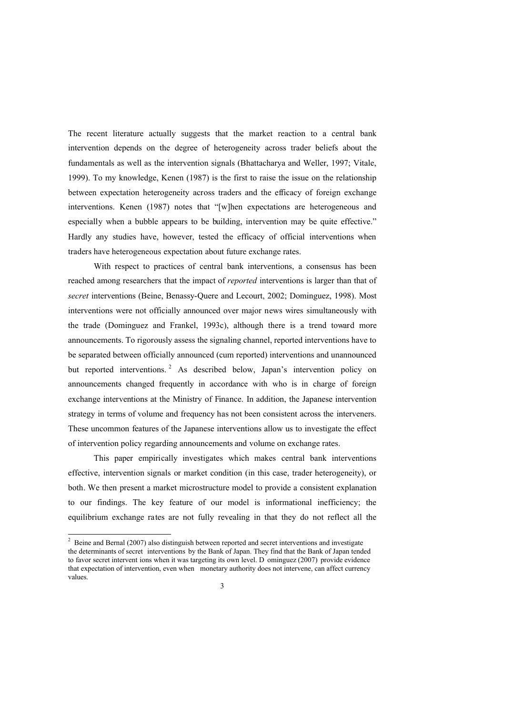The recent literature actually suggests that the market reaction to a central bank intervention depends on the degree of heterogeneity across trader beliefs about the fundamentals as well as the intervention signals (Bhattacharya and Weller, 1997; Vitale, 1999). To my knowledge, Kenen (1987) is the first to raise the issue on the relationship between expectation heterogeneity across traders and the efficacy of foreign exchange interventions. Kenen (1987) notes that "[w]hen expectations are heterogeneous and especially when a bubble appears to be building, intervention may be quite effective." Hardly any studies have, however, tested the efficacy of official interventions when traders have heterogeneous expectation about future exchange rates.

With respect to practices of central bank interventions, a consensus has been reached among researchers that the impact of *reported* interventions is larger than that of *secret* interventions (Beine, Benassy-Quere and Lecourt, 2002; Dominguez, 1998). Most interventions were not officially announced over major news wires simultaneously with the trade (Dominguez and Frankel, 1993c), although there is a trend toward more announcements. To rigorously assess the signaling channel, reported interventions have to be separated between officially announced (cum reported) interventions and unannounced but reported interventions.<sup>2</sup> As described below, Japan's intervention policy on announcements changed frequently in accordance with who is in charge of foreign exchange interventions at the Ministry of Finance. In addition, the Japanese intervention strategy in terms of volume and frequency has not been consistent across the interveners. These uncommon features of the Japanese interventions allow us to investigate the effect of intervention policy regarding announcements and volume on exchange rates.

This paper empirically investigates which makes central bank interventions effective, intervention signals or market condition (in this case, trader heterogeneity), or both. We then present a market microstructure model to provide a consistent explanation to our findings. The key feature of our model is informational inefficiency; the equilibrium exchange rates are not fully revealing in that they do not reflect all the

1

<sup>&</sup>lt;sup>2</sup> Beine and Bernal (2007) also distinguish between reported and secret interventions and investigate the determinants of secret interventions by the Bank of Japan. They find that the Bank of Japan tended to favor secret intervent ions when it was targeting its own level. D ominguez (2007) provide evidence that expectation of intervention, even when monetary authority does not intervene, can affect currency values.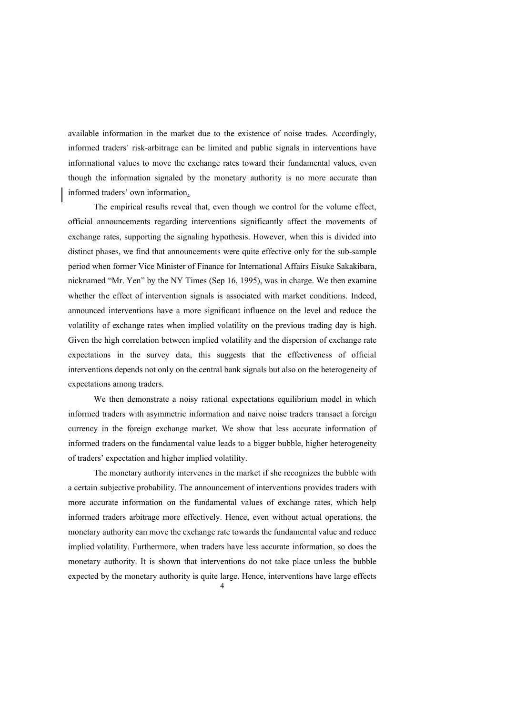available information in the market due to the existence of noise trades. Accordingly, informed traders' risk-arbitrage can be limited and public signals in interventions have informational values to move the exchange rates toward their fundamental values, even though the information signaled by the monetary authority is no more accurate than informed traders' own information.

The empirical results reveal that, even though we control for the volume effect, official announcements regarding interventions significantly affect the movements of exchange rates, supporting the signaling hypothesis. However, when this is divided into distinct phases, we find that announcements were quite effective only for the sub-sample period when former Vice Minister of Finance for International Affairs Eisuke Sakakibara, nicknamed "Mr. Yen" by the NY Times (Sep 16, 1995), was in charge. We then examine whether the effect of intervention signals is associated with market conditions. Indeed, announced interventions have a more significant influence on the level and reduce the volatility of exchange rates when implied volatility on the previous trading day is high. Given the high correlation between implied volatility and the dispersion of exchange rate expectations in the survey data, this suggests that the effectiveness of official interventions depends not only on the central bank signals but also on the heterogeneity of expectations among traders.

We then demonstrate a noisy rational expectations equilibrium model in which informed traders with asymmetric information and naive noise traders transact a foreign currency in the foreign exchange market. We show that less accurate information of informed traders on the fundamental value leads to a bigger bubble, higher heterogeneity of traders' expectation and higher implied volatility.

The monetary authority intervenes in the market if she recognizes the bubble with a certain subjective probability. The announcement of interventions provides traders with more accurate information on the fundamental values of exchange rates, which help informed traders arbitrage more effectively. Hence, even without actual operations, the monetary authority can move the exchange rate towards the fundamental value and reduce implied volatility. Furthermore, when traders have less accurate information, so does the monetary authority. It is shown that interventions do not take place unless the bubble expected by the monetary authority is quite large. Hence, interventions have large effects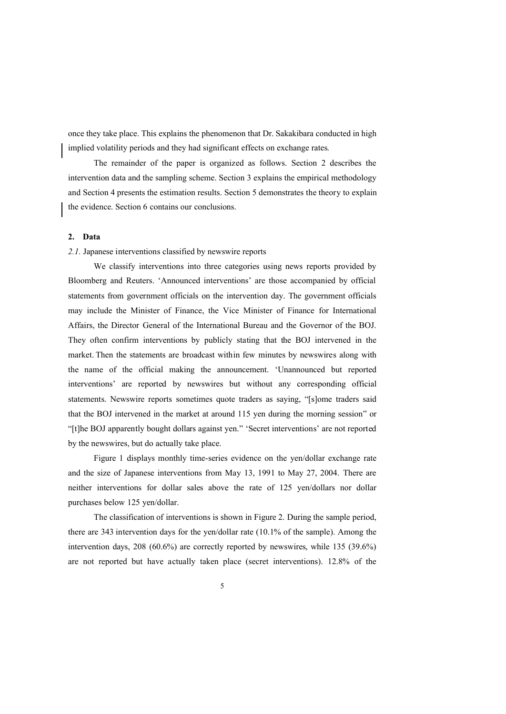once they take place. This explains the phenomenon that Dr. Sakakibara conducted in high implied volatility periods and they had significant effects on exchange rates.

The remainder of the paper is organized as follows. Section 2 describes the intervention data and the sampling scheme. Section 3 explains the empirical methodology and Section 4 presents the estimation results. Section 5 demonstrates the theory to explain the evidence. Section 6 contains our conclusions.

#### **2. Data**

#### *2.1.* Japanese interventions classified by newswire reports

We classify interventions into three categories using news reports provided by Bloomberg and Reuters. 'Announced interventions' are those accompanied by official statements from government officials on the intervention day. The government officials may include the Minister of Finance, the Vice Minister of Finance for International Affairs, the Director General of the International Bureau and the Governor of the BOJ. They often confirm interventions by publicly stating that the BOJ intervened in the market. Then the statements are broadcast within few minutes by newswires along with the name of the official making the announcement. 'Unannounced but reported interventions' are reported by newswires but without any corresponding official statements. Newswire reports sometimes quote traders as saying, "[s]ome traders said that the BOJ intervened in the market at around 115 yen during the morning session" or "[t]he BOJ apparently bought dollars against yen." 'Secret interventions' are not reported by the newswires, but do actually take place.

Figure 1 displays monthly time-series evidence on the yen/dollar exchange rate and the size of Japanese interventions from May 13, 1991 to May 27, 2004. There are neither interventions for dollar sales above the rate of 125 yen/dollars nor dollar purchases below 125 yen/dollar.

The classification of interventions is shown in Figure 2. During the sample period, there are 343 intervention days for the yen/dollar rate (10.1% of the sample). Among the intervention days, 208 (60.6%) are correctly reported by newswires, while 135 (39.6%) are not reported but have actually taken place (secret interventions). 12.8% of the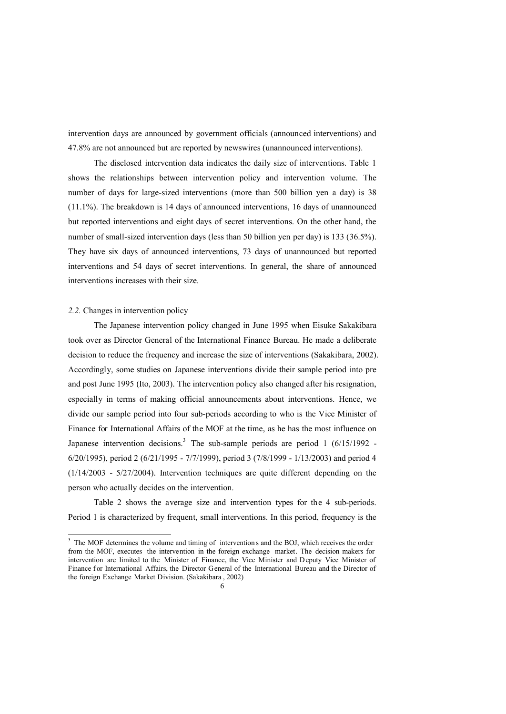intervention days are announced by government officials (announced interventions) and 47.8% are not announced but are reported by newswires (unannounced interventions).

The disclosed intervention data indicates the daily size of interventions. Table 1 shows the relationships between intervention policy and intervention volume. The number of days for large-sized interventions (more than 500 billion yen a day) is 38 (11.1%). The breakdown is 14 days of announced interventions, 16 days of unannounced but reported interventions and eight days of secret interventions. On the other hand, the number of small-sized intervention days (less than 50 billion yen per day) is 133 (36.5%). They have six days of announced interventions, 73 days of unannounced but reported interventions and 54 days of secret interventions. In general, the share of announced interventions increases with their size.

### *2.2.* Changes in intervention policy

The Japanese intervention policy changed in June 1995 when Eisuke Sakakibara took over as Director General of the International Finance Bureau. He made a deliberate decision to reduce the frequency and increase the size of interventions (Sakakibara, 2002). Accordingly, some studies on Japanese interventions divide their sample period into pre and post June 1995 (Ito, 2003). The intervention policy also changed after his resignation, especially in terms of making official announcements about interventions. Hence, we divide our sample period into four sub-periods according to who is the Vice Minister of Finance for International Affairs of the MOF at the time, as he has the most influence on Japanese intervention decisions.<sup>3</sup> The sub-sample periods are period 1 (6/15/1992 -6/20/1995), period 2 (6/21/1995 - 7/7/1999), period 3 (7/8/1999 - 1/13/2003) and period 4 (1/14/2003 - 5/27/2004). Intervention techniques are quite different depending on the person who actually decides on the intervention.

Table 2 shows the average size and intervention types for the 4 sub-periods. Period 1 is characterized by frequent, small interventions. In this period, frequency is the

 $\overline{\text{3}^3}$  The MOF determines the volume and timing of intervention s and the BOJ, which receives the order from the MOF, executes the intervention in the foreign exchange market. The decision makers for intervention are limited to the Minister of Finance, the Vice Minister and Deputy Vice Minister of Finance for International Affairs, the Director General of the International Bureau and the Director of the foreign Exchange Market Division. (Sakakibara , 2002)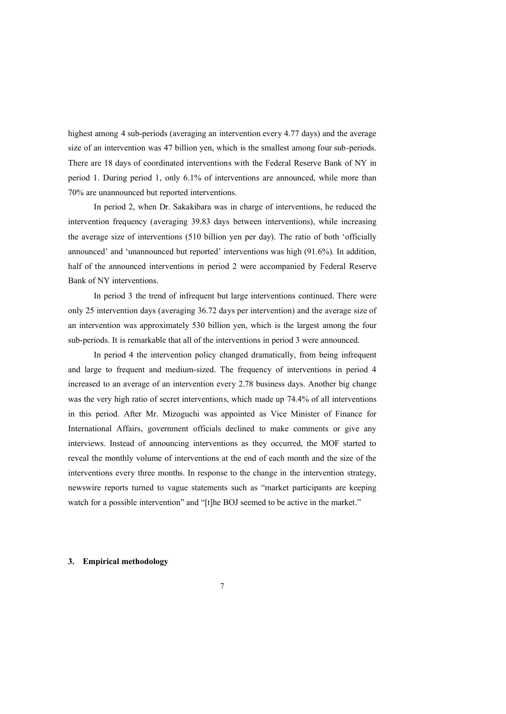highest among 4 sub-periods (averaging an intervention every 4.77 days) and the average size of an intervention was 47 billion yen, which is the smallest among four sub-periods. There are 18 days of coordinated interventions with the Federal Reserve Bank of NY in period 1. During period 1, only 6.1% of interventions are announced, while more than 70% are unannounced but reported interventions.

In period 2, when Dr. Sakakibara was in charge of interventions, he reduced the intervention frequency (averaging 39.83 days between interventions), while increasing the average size of interventions (510 billion yen per day). The ratio of both 'officially announced' and 'unannounced but reported' interventions was high (91.6%). In addition, half of the announced interventions in period 2 were accompanied by Federal Reserve Bank of NY interventions.

In period 3 the trend of infrequent but large interventions continued. There were only 25 intervention days (averaging 36.72 days per intervention) and the average size of an intervention was approximately 530 billion yen, which is the largest among the four sub-periods. It is remarkable that all of the interventions in period 3 were announced.

In period 4 the intervention policy changed dramatically, from being infrequent and large to frequent and medium-sized. The frequency of interventions in period 4 increased to an average of an intervention every 2.78 business days. Another big change was the very high ratio of secret interventions, which made up 74.4% of all interventions in this period. After Mr. Mizoguchi was appointed as Vice Minister of Finance for International Affairs, government officials declined to make comments or give any interviews. Instead of announcing interventions as they occurred, the MOF started to reveal the monthly volume of interventions at the end of each month and the size of the interventions every three months. In response to the change in the intervention strategy, newswire reports turned to vague statements such as "market participants are keeping watch for a possible intervention" and "[t]he BOJ seemed to be active in the market."

#### **3. Empirical methodology**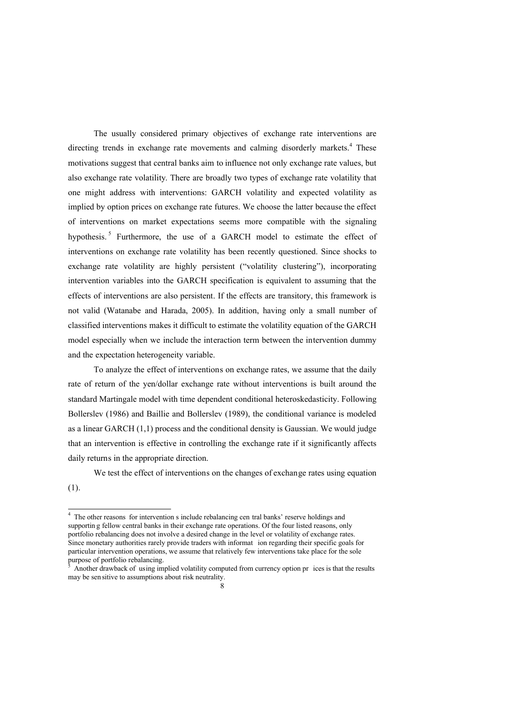The usually considered primary objectives of exchange rate interventions are directing trends in exchange rate movements and calming disorderly markets.<sup>4</sup> These motivations suggest that central banks aim to influence not only exchange rate values, but also exchange rate volatility. There are broadly two types of exchange rate volatility that one might address with interventions: GARCH volatility and expected volatility as implied by option prices on exchange rate futures. We choose the latter because the effect of interventions on market expectations seems more compatible with the signaling hypothesis.<sup>5</sup> Furthermore, the use of a GARCH model to estimate the effect of interventions on exchange rate volatility has been recently questioned. Since shocks to exchange rate volatility are highly persistent ("volatility clustering"), incorporating intervention variables into the GARCH specification is equivalent to assuming that the effects of interventions are also persistent. If the effects are transitory, this framework is not valid (Watanabe and Harada, 2005). In addition, having only a small number of classified interventions makes it difficult to estimate the volatility equation of the GARCH model especially when we include the interaction term between the intervention dummy and the expectation heterogeneity variable.

To analyze the effect of interventions on exchange rates, we assume that the daily rate of return of the yen/dollar exchange rate without interventions is built around the standard Martingale model with time dependent conditional heteroskedasticity. Following Bollerslev (1986) and Baillie and Bollerslev (1989), the conditional variance is modeled as a linear GARCH (1,1) process and the conditional density is Gaussian. We would judge that an intervention is effective in controlling the exchange rate if it significantly affects daily returns in the appropriate direction.

We test the effect of interventions on the changes of exchange rates using equation

(1).

<sup>&</sup>lt;sup>4</sup> The other reasons for intervention s include rebalancing cen tral banks' reserve holdings and supportin g fellow central banks in their exchange rate operations. Of the four listed reasons, only portfolio rebalancing does not involve a desired change in the level or volatility of exchange rates. Since monetary authorities rarely provide traders with informat ion regarding their specific goals for particular intervention operations, we assume that relatively few interventions take place for the sole purpose of portfolio rebalancing.

<sup>5</sup> Another drawback of using implied volatility computed from currency option pr ices is that the results may be sen sitive to assumptions about risk neutrality.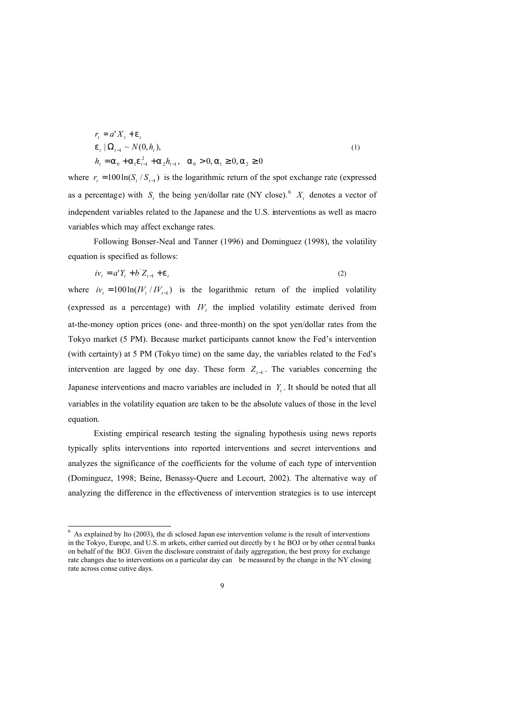$$
r_{t} = a' X_{t} + e_{t}
$$
  
\n
$$
e_{t} | \Omega_{t-1} \sim N(0, h_{t}),
$$
  
\n
$$
h_{t} = a_{0} + a_{1} e_{t-1}^{2} + a_{2} h_{t-1}, \quad a_{0} > 0, a_{1} \ge 0, a_{2} \ge 0
$$
\n(1)

where  $r_t = 100 \ln(S_t / S_{t-1})$  is the logarithmic return of the spot exchange rate (expressed as a percentage) with  $S_t$  the being yen/dollar rate (NY close).<sup>6</sup>  $X_t$  denotes a vector of independent variables related to the Japanese and the U.S. interventions as well as macro variables which may affect exchange rates.

Following Bonser-Neal and Tanner (1996) and Dominguez (1998), the volatility equation is specified as follows:

$$
iv_t = a'Y_t + b'Z_{t-1} + e_t
$$
 (2)

where  $iv_t = 100 \ln (IV_t / IV_{t-1})$  is the logarithmic return of the implied volatility (expressed as a percentage) with  $IV<sub>t</sub>$  the implied volatility estimate derived from at-the-money option prices (one- and three-month) on the spot yen/dollar rates from the Tokyo market (5 PM). Because market participants cannot know the Fed's intervention (with certainty) at 5 PM (Tokyo time) on the same day, the variables related to the Fed's intervention are lagged by one day. These form  $Z_{t-1}$ . The variables concerning the Japanese interventions and macro variables are included in  $Y_t$ . It should be noted that all variables in the volatility equation are taken to be the absolute values of those in the level equation.

Existing empirical research testing the signaling hypothesis using news reports typically splits interventions into reported interventions and secret interventions and analyzes the significance of the coefficients for the volume of each type of intervention (Dominguez, 1998; Beine, Benassy-Quere and Lecourt, 2002). The alternative way of analyzing the difference in the effectiveness of intervention strategies is to use intercept

-

 $6$  As explained by Ito (2003), the di sclosed Japan ese intervention volume is the result of interventions in the Tokyo, Europe, and U.S. m arkets, either carried out directly by t he BOJ or by other central banks on behalf of the BOJ. Given the disclosure constraint of daily aggregation, the best proxy for exchange rate changes due to interventions on a particular day can be measured by the change in the NY closing rate across conse cutive days.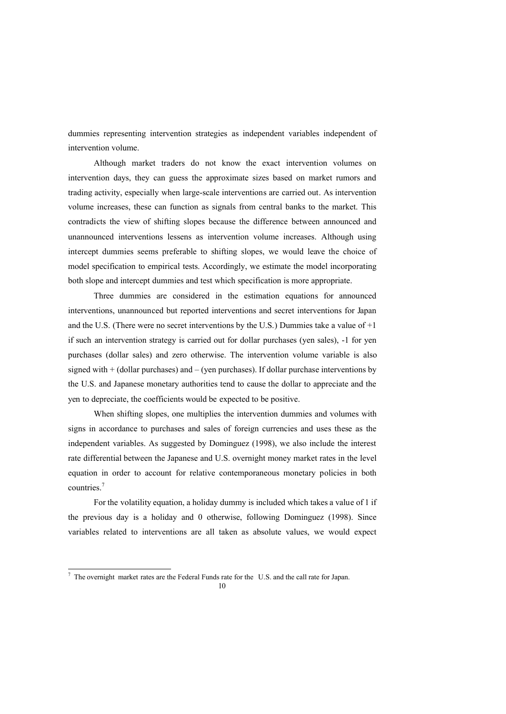dummies representing intervention strategies as independent variables independent of intervention volume.

Although market traders do not know the exact intervention volumes on intervention days, they can guess the approximate sizes based on market rumors and trading activity, especially when large-scale interventions are carried out. As intervention volume increases, these can function as signals from central banks to the market. This contradicts the view of shifting slopes because the difference between announced and unannounced interventions lessens as intervention volume increases. Although using intercept dummies seems preferable to shifting slopes, we would leave the choice of model specification to empirical tests. Accordingly, we estimate the model incorporating both slope and intercept dummies and test which specification is more appropriate.

Three dummies are considered in the estimation equations for announced interventions, unannounced but reported interventions and secret interventions for Japan and the U.S. (There were no secret interventions by the U.S.) Dummies take a value of +1 if such an intervention strategy is carried out for dollar purchases (yen sales), -1 for yen purchases (dollar sales) and zero otherwise. The intervention volume variable is also signed with + (dollar purchases) and – (yen purchases). If dollar purchase interventions by the U.S. and Japanese monetary authorities tend to cause the dollar to appreciate and the yen to depreciate, the coefficients would be expected to be positive.

When shifting slopes, one multiplies the intervention dummies and volumes with signs in accordance to purchases and sales of foreign currencies and uses these as the independent variables. As suggested by Dominguez (1998), we also include the interest rate differential between the Japanese and U.S. overnight money market rates in the level equation in order to account for relative contemporaneous monetary policies in both countries.<sup>7</sup>

For the volatility equation, a holiday dummy is included which takes a value of 1 if the previous day is a holiday and 0 otherwise, following Dominguez (1998). Since variables related to interventions are all taken as absolute values, we would expect

The overnight market rates are the Federal Funds rate for the U.S. and the call rate for Japan.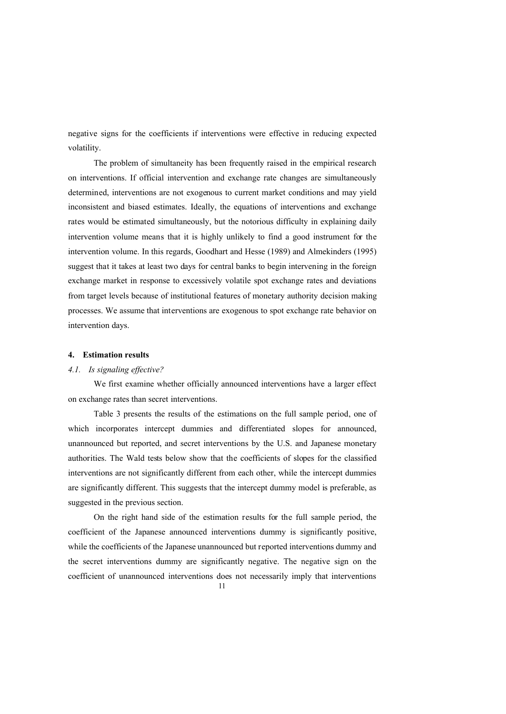negative signs for the coefficients if interventions were effective in reducing expected volatility.

The problem of simultaneity has been frequently raised in the empirical research on interventions. If official intervention and exchange rate changes are simultaneously determined, interventions are not exogenous to current market conditions and may yield inconsistent and biased estimates. Ideally, the equations of interventions and exchange rates would be estimated simultaneously, but the notorious difficulty in explaining daily intervention volume means that it is highly unlikely to find a good instrument for the intervention volume. In this regards, Goodhart and Hesse (1989) and Almekinders (1995) suggest that it takes at least two days for central banks to begin intervening in the foreign exchange market in response to excessively volatile spot exchange rates and deviations from target levels because of institutional features of monetary authority decision making processes. We assume that interventions are exogenous to spot exchange rate behavior on intervention days.

#### **4. Estimation results**

#### *4.1. Is signaling effective?*

We first examine whether officially announced interventions have a larger effect on exchange rates than secret interventions.

Table 3 presents the results of the estimations on the full sample period, one of which incorporates intercept dummies and differentiated slopes for announced, unannounced but reported, and secret interventions by the U.S. and Japanese monetary authorities. The Wald tests below show that the coefficients of slopes for the classified interventions are not significantly different from each other, while the intercept dummies are significantly different. This suggests that the intercept dummy model is preferable, as suggested in the previous section.

On the right hand side of the estimation results for the full sample period, the coefficient of the Japanese announced interventions dummy is significantly positive, while the coefficients of the Japanese unannounced but reported interventions dummy and the secret interventions dummy are significantly negative. The negative sign on the coefficient of unannounced interventions does not necessarily imply that interventions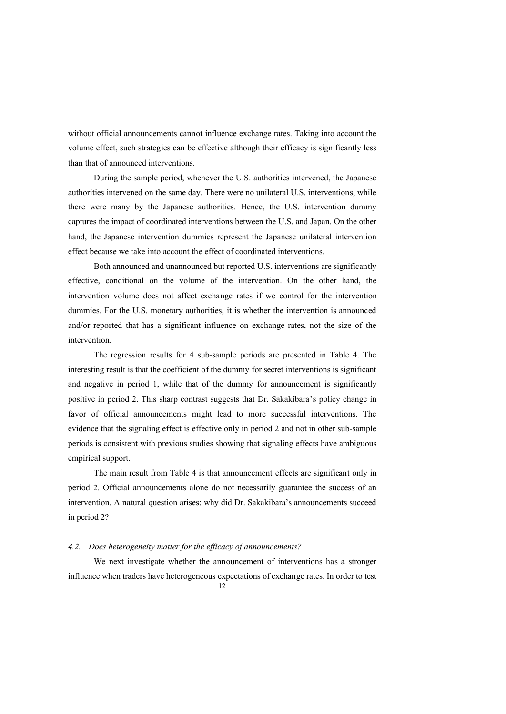without official announcements cannot influence exchange rates. Taking into account the volume effect, such strategies can be effective although their efficacy is significantly less than that of announced interventions.

During the sample period, whenever the U.S. authorities intervened, the Japanese authorities intervened on the same day. There were no unilateral U.S. interventions, while there were many by the Japanese authorities. Hence, the U.S. intervention dummy captures the impact of coordinated interventions between the U.S. and Japan. On the other hand, the Japanese intervention dummies represent the Japanese unilateral intervention effect because we take into account the effect of coordinated interventions.

Both announced and unannounced but reported U.S. interventions are significantly effective, conditional on the volume of the intervention. On the other hand, the intervention volume does not affect exchange rates if we control for the intervention dummies. For the U.S. monetary authorities, it is whether the intervention is announced and/or reported that has a significant influence on exchange rates, not the size of the intervention.

The regression results for 4 sub-sample periods are presented in Table 4. The interesting result is that the coefficient of the dummy for secret interventions is significant and negative in period 1, while that of the dummy for announcement is significantly positive in period 2. This sharp contrast suggests that Dr. Sakakibara's policy change in favor of official announcements might lead to more successful interventions. The evidence that the signaling effect is effective only in period 2 and not in other sub-sample periods is consistent with previous studies showing that signaling effects have ambiguous empirical support.

The main result from Table 4 is that announcement effects are significant only in period 2. Official announcements alone do not necessarily guarantee the success of an intervention. A natural question arises: why did Dr. Sakakibara's announcements succeed in period 2?

#### *4.2. Does heterogeneity matter for the efficacy of announcements?*

We next investigate whether the announcement of interventions has a stronger influence when traders have heterogeneous expectations of exchange rates. In order to test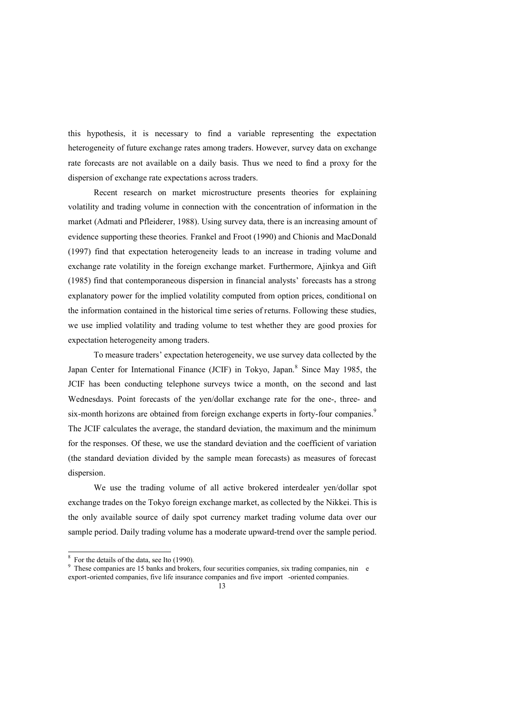this hypothesis, it is necessary to find a variable representing the expectation heterogeneity of future exchange rates among traders. However, survey data on exchange rate forecasts are not available on a daily basis. Thus we need to find a proxy for the dispersion of exchange rate expectations across traders.

Recent research on market microstructure presents theories for explaining volatility and trading volume in connection with the concentration of information in the market (Admati and Pfleiderer, 1988). Using survey data, there is an increasing amount of evidence supporting these theories. Frankel and Froot (1990) and Chionis and MacDonald (1997) find that expectation heterogeneity leads to an increase in trading volume and exchange rate volatility in the foreign exchange market. Furthermore, Ajinkya and Gift (1985) find that contemporaneous dispersion in financial analysts' forecasts has a strong explanatory power for the implied volatility computed from option prices, conditional on the information contained in the historical time series of returns. Following these studies, we use implied volatility and trading volume to test whether they are good proxies for expectation heterogeneity among traders.

To measure traders' expectation heterogeneity, we use survey data collected by the Japan Center for International Finance (JCIF) in Tokyo, Japan.<sup>8</sup> Since May 1985, the JCIF has been conducting telephone surveys twice a month, on the second and last Wednesdays. Point forecasts of the yen/dollar exchange rate for the one-, three- and six-month horizons are obtained from foreign exchange experts in forty-four companies.<sup>9</sup> The JCIF calculates the average, the standard deviation, the maximum and the minimum for the responses. Of these, we use the standard deviation and the coefficient of variation (the standard deviation divided by the sample mean forecasts) as measures of forecast dispersion.

We use the trading volume of all active brokered interdealer yen/dollar spot exchange trades on the Tokyo foreign exchange market, as collected by the Nikkei. This is the only available source of daily spot currency market trading volume data over our sample period. Daily trading volume has a moderate upward-trend over the sample period.

<sup>8</sup> For the details of the data, see Ito (1990).

<sup>9</sup> These companies are 15 banks and brokers, four securities companies, six trading companies, nin e export-oriented companies, five life insurance companies and five import -oriented companies.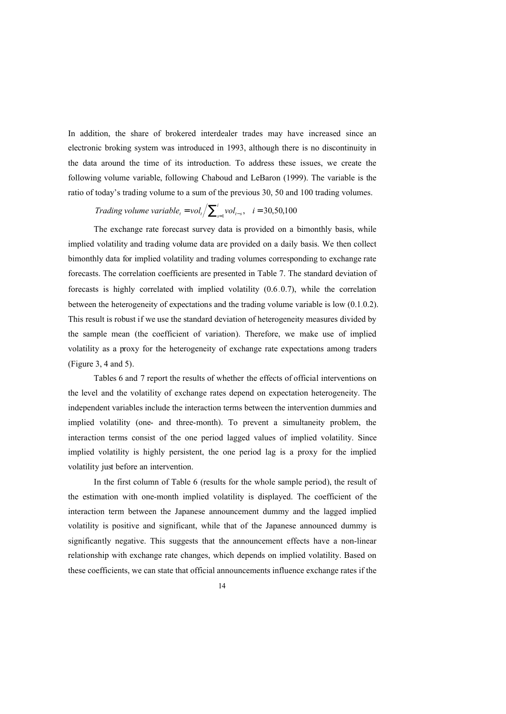In addition, the share of brokered interdealer trades may have increased since an electronic broking system was introduced in 1993, although there is no discontinuity in the data around the time of its introduction. To address these issues, we create the following volume variable, following Chaboud and LeBaron (1999). The variable is the ratio of today's trading volume to a sum of the previous 30, 50 and 100 trading volumes.

*Trading volume variable*<sub>*t*</sub> =  $vol_t / \sum_{s=1}^{n} vol_{t-s}$  $\sum_{i=1}^{i} vol_{t=s}$ ,  $i = 30,50,100$ 

The exchange rate forecast survey data is provided on a bimonthly basis, while implied volatility and trading volume data are provided on a daily basis. We then collect bimonthly data for implied volatility and trading volumes corresponding to exchange rate forecasts. The correlation coefficients are presented in Table 7. The standard deviation of forecasts is highly correlated with implied volatility (0.6 0.7), while the correlation between the heterogeneity of expectations and the trading volume variable is low  $(0.1.0.2)$ . This result is robust if we use the standard deviation of heterogeneity measures divided by the sample mean (the coefficient of variation). Therefore, we make use of implied volatility as a proxy for the heterogeneity of exchange rate expectations among traders (Figure 3, 4 and 5).

Tables 6 and 7 report the results of whether the effects of official interventions on the level and the volatility of exchange rates depend on expectation heterogeneity. The independent variables include the interaction terms between the intervention dummies and implied volatility (one- and three-month). To prevent a simultaneity problem, the interaction terms consist of the one period lagged values of implied volatility. Since implied volatility is highly persistent, the one period lag is a proxy for the implied volatility just before an intervention.

In the first column of Table 6 (results for the whole sample period), the result of the estimation with one-month implied volatility is displayed. The coefficient of the interaction term between the Japanese announcement dummy and the lagged implied volatility is positive and significant, while that of the Japanese announced dummy is significantly negative. This suggests that the announcement effects have a non-linear relationship with exchange rate changes, which depends on implied volatility. Based on these coefficients, we can state that official announcements influence exchange rates if the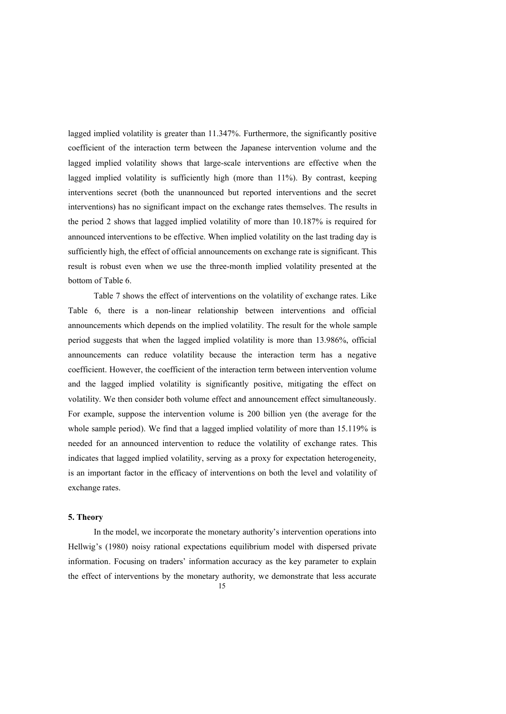lagged implied volatility is greater than 11.347%. Furthermore, the significantly positive coefficient of the interaction term between the Japanese intervention volume and the lagged implied volatility shows that large-scale interventions are effective when the lagged implied volatility is sufficiently high (more than 11%). By contrast, keeping interventions secret (both the unannounced but reported interventions and the secret interventions) has no significant impact on the exchange rates themselves. The results in the period 2 shows that lagged implied volatility of more than 10.187% is required for announced interventions to be effective. When implied volatility on the last trading day is sufficiently high, the effect of official announcements on exchange rate is significant. This result is robust even when we use the three-month implied volatility presented at the bottom of Table 6.

Table 7 shows the effect of interventions on the volatility of exchange rates. Like Table 6, there is a non-linear relationship between interventions and official announcements which depends on the implied volatility. The result for the whole sample period suggests that when the lagged implied volatility is more than 13.986%, official announcements can reduce volatility because the interaction term has a negative coefficient. However, the coefficient of the interaction term between intervention volume and the lagged implied volatility is significantly positive, mitigating the effect on volatility. We then consider both volume effect and announcement effect simultaneously. For example, suppose the intervention volume is 200 billion yen (the average for the whole sample period). We find that a lagged implied volatility of more than 15.119% is needed for an announced intervention to reduce the volatility of exchange rates. This indicates that lagged implied volatility, serving as a proxy for expectation heterogeneity, is an important factor in the efficacy of interventions on both the level and volatility of exchange rates.

#### **5. Theory**

In the model, we incorporate the monetary authority's intervention operations into Hellwig's (1980) noisy rational expectations equilibrium model with dispersed private information. Focusing on traders' information accuracy as the key parameter to explain the effect of interventions by the monetary authority, we demonstrate that less accurate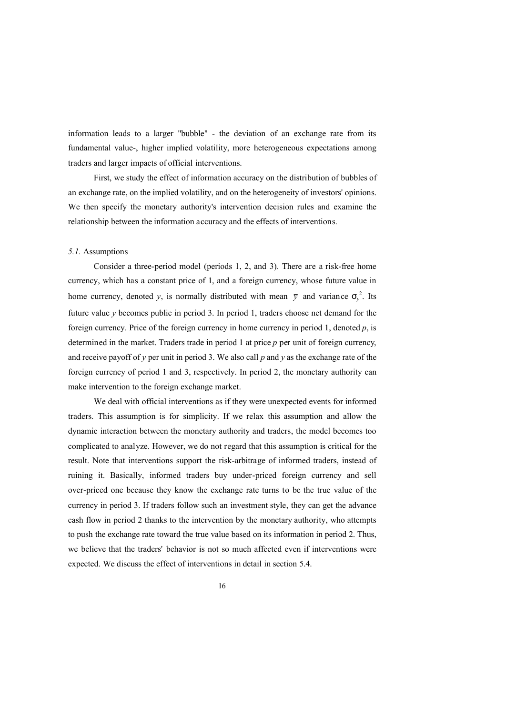information leads to a larger "bubble" - the deviation of an exchange rate from its fundamental value-, higher implied volatility, more heterogeneous expectations among traders and larger impacts of official interventions.

First, we study the effect of information accuracy on the distribution of bubbles of an exchange rate, on the implied volatility, and on the heterogeneity of investors' opinions. We then specify the monetary authority's intervention decision rules and examine the relationship between the information accuracy and the effects of interventions.

### *5.1.* Assumptions

Consider a three-period model (periods 1, 2, and 3). There are a risk-free home currency, which has a constant price of 1, and a foreign currency, whose future value in home currency, denoted *y*, is normally distributed with mean  $\bar{y}$  and variance  $s_y^2$ . Its future value *y* becomes public in period 3. In period 1, traders choose net demand for the foreign currency. Price of the foreign currency in home currency in period 1, denoted *p*, is determined in the market. Traders trade in period 1 at price *p* per unit of foreign currency, and receive payoff of *y* per unit in period 3. We also call *p* and *y* as the exchange rate of the foreign currency of period 1 and 3, respectively. In period 2, the monetary authority can make intervention to the foreign exchange market.

We deal with official interventions as if they were unexpected events for informed traders. This assumption is for simplicity. If we relax this assumption and allow the dynamic interaction between the monetary authority and traders, the model becomes too complicated to analyze. However, we do not regard that this assumption is critical for the result. Note that interventions support the risk-arbitrage of informed traders, instead of ruining it. Basically, informed traders buy under-priced foreign currency and sell over-priced one because they know the exchange rate turns to be the true value of the currency in period 3. If traders follow such an investment style, they can get the advance cash flow in period 2 thanks to the intervention by the monetary authority, who attempts to push the exchange rate toward the true value based on its information in period 2. Thus, we believe that the traders' behavior is not so much affected even if interventions were expected. We discuss the effect of interventions in detail in section 5.4.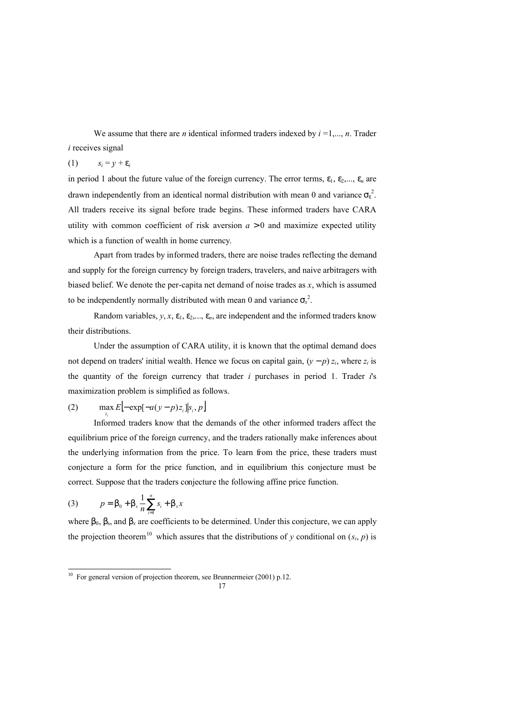We assume that there are *n* identical informed traders indexed by  $i = 1, \ldots, n$ . Trader *i* receives signal

### (1)  $s_i = y + e_i$

in period 1 about the future value of the foreign currency. The error terms,  $e_1$ ,  $e_2$ ,...,  $e_n$  are drawn independently from an identical normal distribution with mean 0 and variance *s<sup>e</sup>* 2 . All traders receive its signal before trade begins. These informed traders have CARA utility with common coefficient of risk aversion  $a > 0$  and maximize expected utility which is a function of wealth in home currency.

Apart from trades by informed traders, there are noise trades reflecting the demand and supply for the foreign currency by foreign traders, travelers, and naive arbitragers with biased belief. We denote the per-capita net demand of noise trades as *x*, which is assumed to be independently normally distributed with mean 0 and variance  $s_x^2$ .

Random variables,  $y, x, e_1, e_2, \ldots, e_n$ , are independent and the informed traders know their distributions.

Under the assumption of CARA utility, it is known that the optimal demand does not depend on traders' initial wealth. Hence we focus on capital gain,  $(y - p) z_i$ , where  $z_i$  is the quantity of the foreign currency that trader *i* purchases in period 1. Trader *i*'s maximization problem is simplified as follows.

#### (2)  $\max E[-\exp[-a(y-p)z_i]|s_i, p]$ *zi*

Informed traders know that the demands of the other informed traders affect the equilibrium price of the foreign currency, and the traders rationally make inferences about the underlying information from the price. To learn from the price, these traders must conjecture a form for the price function, and in equilibrium this conjecture must be correct. Suppose that the traders conjecture the following affine price function.

(3) 
$$
p = b_0 + b_s \frac{1}{n} \sum_{i=1}^{n} s_i + b_x x
$$

-

where  $b_0$ ,  $b_s$ , and  $b_x$  are coefficients to be determined. Under this conjecture, we can apply the projection theorem<sup>10</sup> which assures that the distributions of *y* conditional on  $(s_i, p)$  is

<sup>&</sup>lt;sup>10</sup> For general version of projection theorem, see Brunnermeier (2001) p.12.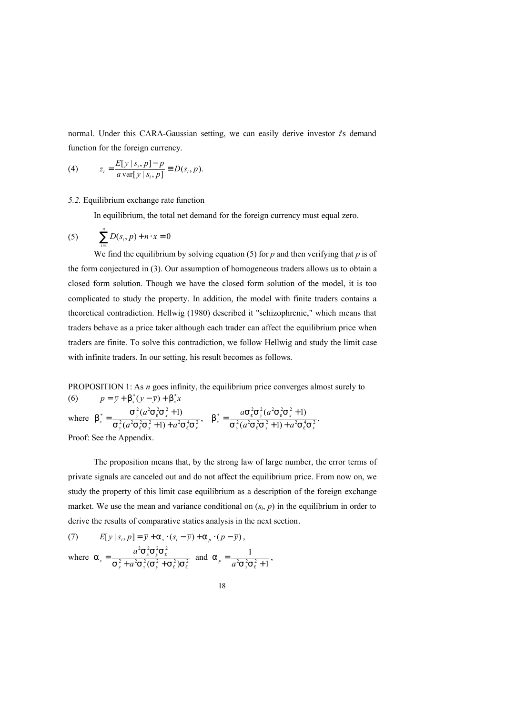normal. Under this CARA-Gaussian setting, we can easily derive investor *i*'s demand function for the foreign currency.

(4) 
$$
z_i = \frac{E[y \mid s_i, p] - p}{a \text{ var}[y \mid s_i, p]} = D(s_i, p).
$$

#### *5.2.* Equilibrium exchange rate function

In equilibrium, the total net demand for the foreign currency must equal zero.

(5) 
$$
\sum_{i=1}^{n} D(s_i, p) + n \cdot x = 0
$$

We find the equilibrium by solving equation (5) for *p* and then verifying that *p* is of the form conjectured in (3). Our assumption of homogeneous traders allows us to obtain a closed form solution. Though we have the closed form solution of the model, it is too complicated to study the property. In addition, the model with finite traders contains a theoretical contradiction. Hellwig (1980) described it "schizophrenic," which means that traders behave as a price taker although each trader can affect the equilibrium price when traders are finite. To solve this contradiction, we follow Hellwig and study the limit case with infinite traders. In our setting, his result becomes as follows.

PROPOSITION 1: As *n* goes infinity, the equilibrium price converges almost surely to (6)  $p = \bar{y} + b_s^*(y - \bar{y}) + b_x^*x$ 

where  $b_s^* = \frac{b_y^* (a_b^2 + b_y^2)(a_b^2 + b_z^2)}{s_y^2 (a_s^2 + b_s^2 + b_s^2 + b_s^2)}$ ,  $b_x^* = \frac{a_b^2 (a_b^2 + b_y^2)(a_b^2 + b_z^2)(a_b^2 + b_z^2)}{s_y^2 (a_s^2 + b_s^2 + b_s^2)}$  $\frac{S_y^2(a^2S_e^2S_x^2+1)}{(a^2S_e^2S_x^2+1)+a^2S_e^4S_x^2}$ ,  $b_x^* = \frac{as_e^2S_y^2(a^2S_e^2S_x^2+1)}{S_y^2(a^2S_e^2S_x^2+1)+a^2S_e^4}$  $(a^2S_e^2S_x^2+1)$  $\frac{2}{2}$   $\frac{2}{2}$   $\frac{2}{2}$   $\frac{1}{2}$   $\frac{1}{2}$   $\frac{2}{2}$   $\frac{4}{2}$   $\frac{2}{2}$  $\frac{S_y^2(a^2S_e^2S_x^2+1)}{2(a^2S_e^2S_e^2+1)(1-e^{2}S_e^4S_e^2)}$ ,  $b_x^* = \frac{as_e^2S_y^2(a^2S_e^2S_x^2)}{S_e^2(a^2S_e^2S_e^2+1)(1-e^{2}S_e^4S_e^2)}$ \* S<sub>y</sub>  $( a^2 S_e^2 S_x^2 )$  $y$   $(u \rightarrow_e \rightarrow_x \rightarrow I) + u \rightarrow_e \rightarrow_x$  $\frac{d^{3}y}{dx^{2}} = \frac{d^{3}y}{dx^{2}} = \frac{d^{3}y}{dx^{3}} = \frac{d^{3}y}{dx^{3}} = \frac{d^{3}y}{dx^{3}} = \frac{d^{3}y}{dx^{3}} = \frac{d^{3}y}{dx^{3}} = \frac{d^{3}y}{dx^{3}} = \frac{d^{3}y}{dx^{3}} = \frac{d^{3}y}{dx^{3}} = \frac{d^{3}y}{dx^{3}} = \frac{d^{3}y}{dx^{3}} = \frac{d^{3}y}{dx^{3}} = \frac{d^{3}y}{dx^{3}} = \frac{d^{3}y}{dx^{3}} = \frac{d^{3}y}{dx$  $y'_{s} = \frac{3y(16.9e^{3}x^{2} + 1)}{5y(16.9e^{3}x^{2} + 1) + a^{2}Se^{4}Sx^{2}}$ ,  $b_{x}^{*} = \frac{a_{9}e^{3}y(a_{9}e^{3}x^{2})}{5y(16.9e^{3}x^{2} + 1) + a^{2}Se^{4}Sx^{2}}$  $a$ S $_{e}^{2}$ S $_{v}^{2}(a)$  $a^2S_e^2S_x^2+1)+a$ *a*  $S_v^2(a^2S_e^2S_x^2+1)+a^2S_e^4S$  $s_y^2(a^2s_e^2s_x^2+1)$ <br>  $s_x^3(a^2s_e^2s_x^2+1)+a^2s_e^4s_x^2$ ,  $b_x^* = \frac{as_e^2s_y^2(a^2s_e^2s_x^2+1)}{s_y^2(a^2s_e^2s_x^2+1)+s_z^2s_z^2}$  $b_s^* = \frac{S_y^2 (a^2 S_e^2 S_g)}{2(2a^2 S_e^2 S_g^2)}$  $e^{\sigma_x + i f + u \sigma_e}$  $e^{u}$ <sub>*e*</sub>  $v^{u}$ <sub>e</sub>  $e^{2}$ <sub>x</sub>  $\pm$  1*j*  $\pm$   $u^{2}$ <sub>e</sub> *e*  $+1$ ) +  $\frac{1}{2}(\frac{1}{2}S_x^2 + 1) + 1 + \frac{1}{2}S_x^4S_y^2$ ,  $b_x^* = \frac{1}{S_x^2(a^2S_x^2 + 1)} + \frac{1}{2}S_x^2(a^2S_x^2 + 1) + \frac{1}{2}S_x^2(a^2S_x^2 + 1) + \frac{1}{2}S_x^2(a^2S_x^2 + 1)$  $=\frac{S_y^2(a^2S_e^2S_x^2+)}{2(2a^2S_e^2S_x^2+)}$ Proof: See the Appendix.

The proposition means that, by the strong law of large number, the error terms of private signals are canceled out and do not affect the equilibrium price. From now on, we study the property of this limit case equilibrium as a description of the foreign exchange market. We use the mean and variance conditional on  $(s_i, p)$  in the equilibrium in order to derive the results of comparative statics analysis in the next section.

(7)  $E[y \mid s_i, p] = \bar{y} + a_s \cdot (s_i - \bar{y}) + a_p \cdot (p - \bar{y}),$ 

where  $a_s = \frac{a^2 + a^2 s^2 y^2 e^2}{c^2 + a^2 s^2 (c^2 + c^2)s^2}$  $2^2$   $2^2$   $2^2$  $(S_y^2 + S_e^2)S_e^2$ *e*  $S_v^2 + a^2S_v^2(S_v^2 + S_e^2)S_v^2$  $a_s = \frac{a^2 s_x^2 s_y^2 s_e^2}{s_y^2 + a^2 s_x^2 (s_y^2 + s_z^2)}$  $\mathbf{y}$   $\mathbf{u}$   $\mathbf{v}$   $\mathbf{x}$   $\mathbf{v}$   $\mathbf{v}$  $\alpha$ <sup>*s*</sup>  $\frac{d^2y}{s^2}$  **b**  $\frac{d^2y}{s^2}$  **c**  $\frac{d^2y}{s^2}$  **c**  $\frac{d^2y}{s^2}$  $a^2S_x^2S_y^2S_e^2$ <br>  $a^2S_x^2(S_y^2 + S_e^2)S_e^2$  and  $a_p = \frac{1}{a^2S_y^2S_e^2 + 1}$ 1  $a_p = \frac{1}{a^2S_x^2S_e^2 +$  $_p = \frac{1}{a^2S_x^2S_e^2 + 1}$ ,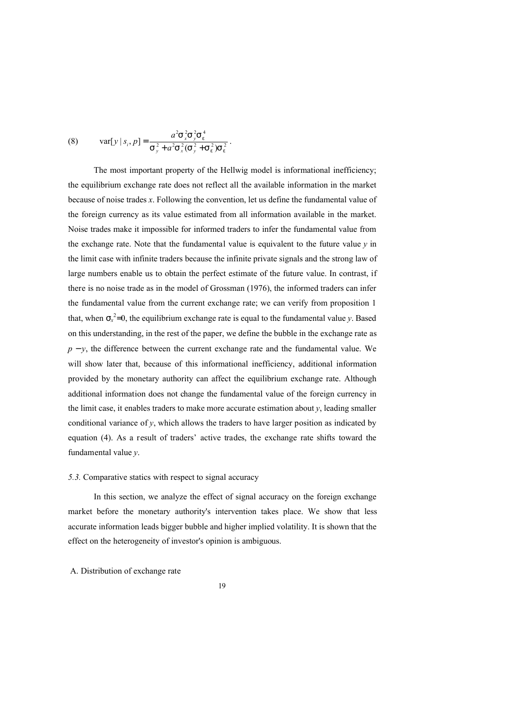(8) var[
$$
y | s_i
$$
,  $p$ ] = 
$$
\frac{a^2 s_x^2 s_y^2 s_e^4}{s_y^2 + a^2 s_x^2 (s_y^2 + s_e^2) s_e^2}.
$$

The most important property of the Hellwig model is informational inefficiency; the equilibrium exchange rate does not reflect all the available information in the market because of noise trades *x*. Following the convention, let us define the fundamental value of the foreign currency as its value estimated from all information available in the market. Noise trades make it impossible for informed traders to infer the fundamental value from the exchange rate. Note that the fundamental value is equivalent to the future value  $y$  in the limit case with infinite traders because the infinite private signals and the strong law of large numbers enable us to obtain the perfect estimate of the future value. In contrast, if there is no noise trade as in the model of Grossman (1976), the informed traders can infer the fundamental value from the current exchange rate; we can verify from proposition 1 that, when  $\sigma_x^2 = 0$ , the equilibrium exchange rate is equal to the fundamental value *y*. Based on this understanding, in the rest of the paper, we define the bubble in the exchange rate as *p* − *y*, the difference between the current exchange rate and the fundamental value. We will show later that, because of this informational inefficiency, additional information provided by the monetary authority can affect the equilibrium exchange rate. Although additional information does not change the fundamental value of the foreign currency in the limit case, it enables traders to make more accurate estimation about *y*, leading smaller conditional variance of  $y$ , which allows the traders to have larger position as indicated by equation (4). As a result of traders' active trades, the exchange rate shifts toward the fundamental value *y*.

#### *5.3.* Comparative statics with respect to signal accuracy

In this section, we analyze the effect of signal accuracy on the foreign exchange market before the monetary authority's intervention takes place. We show that less accurate information leads bigger bubble and higher implied volatility. It is shown that the effect on the heterogeneity of investor's opinion is ambiguous.

A. Distribution of exchange rate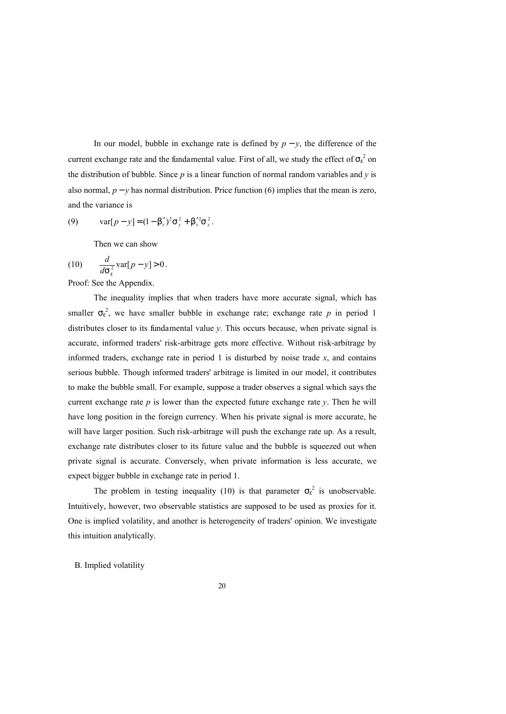In our model, bubble in exchange rate is defined by  $p - y$ , the difference of the current exchange rate and the fundamental value. First of all, we study the effect of  $s_e^2$  on the distribution of bubble. Since *p* is a linear function of normal random variables and *y* is also normal,  $p - y$  has normal distribution. Price function (6) implies that the mean is zero, and the variance is

(9) 
$$
\text{var}[p - y] = (1 - b_s^*)^2 \text{S}_{y}^2 + b_x^* \text{S}_{x}^2.
$$

Then we can show

(10) 
$$
\frac{d}{dS_e^2} \text{var}[p - y] > 0.
$$

Proof: See the Appendix.

The inequality implies that when traders have more accurate signal, which has smaller  $s_e^2$ , we have smaller bubble in exchange rate; exchange rate p in period 1 distributes closer to its fundamental value *y*. This occurs because, when private signal is accurate, informed traders' risk-arbitrage gets more effective. Without risk-arbitrage by informed traders, exchange rate in period 1 is disturbed by noise trade  $x$ , and contains serious bubble. Though informed traders' arbitrage is limited in our model, it contributes to make the bubble small. For example, suppose a trader observes a signal which says the current exchange rate  $p$  is lower than the expected future exchange rate  $y$ . Then he will have long position in the foreign currency. When his private signal is more accurate, he will have larger position. Such risk-arbitrage will push the exchange rate up. As a result, exchange rate distributes closer to its future value and the bubble is squeezed out when private signal is accurate. Conversely, when private information is less accurate, we expect bigger bubble in exchange rate in period 1.

The problem in testing inequality (10) is that parameter  $\sigma_{\epsilon}^2$  is unobservable. Intuitively, however, two observable statistics are supposed to be used as proxies for it. One is implied volatility, and another is heterogeneity of traders' opinion. We investigate this intuition analytically.

B. Implied volatility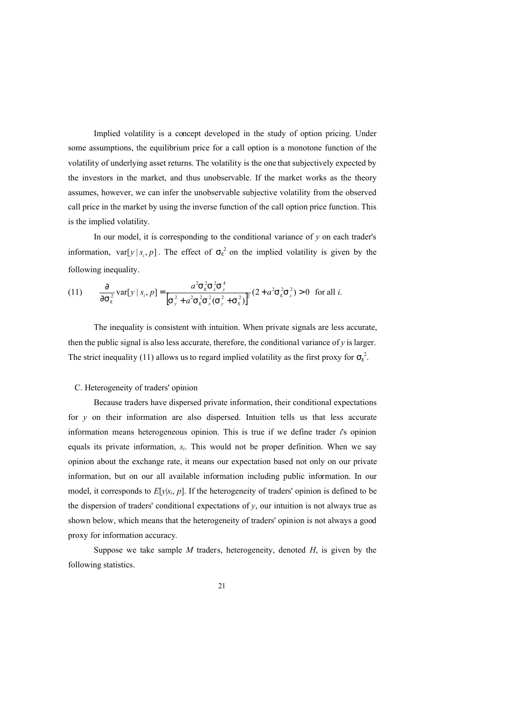Implied volatility is a concept developed in the study of option pricing. Under some assumptions, the equilibrium price for a call option is a monotone function of the volatility of underlying asset returns. The volatility is the one that subjectively expected by the investors in the market, and thus unobservable. If the market works as the theory assumes, however, we can infer the unobservable subjective volatility from the observed call price in the market by using the inverse function of the call option price function. This is the implied volatility.

In our model, it is corresponding to the conditional variance of  $y$  on each trader's information, var $[y \mid s_i, p]$ . The effect of  $s_e^2$  on the implied volatility is given by the following inequality.

(11) 
$$
\frac{\partial}{\partial s_e^2} \text{var}[y \mid s_i, p] = \frac{a^2 s_e^2 s_x^2 s_y^4}{\left[s_y^2 + a^2 s_e^2 s_x^2 (s_y^2 + s_e^2)\right]^2} (2 + a^2 s_e^2 s_x^2) > 0 \text{ for all } i.
$$

The inequality is consistent with intuition. When private signals are less accurate, then the public signal is also less accurate, therefore, the conditional variance of  $y$  is larger. The strict inequality (11) allows us to regard implied volatility as the first proxy for  $S_e^2$ .

#### C. Heterogeneity of traders' opinion

Because traders have dispersed private information, their conditional expectations for *y* on their information are also dispersed. Intuition tells us that less accurate information means heterogeneous opinion. This is true if we define trader *i*'s opinion equals its private information, *si*. This would not be proper definition. When we say opinion about the exchange rate, it means our expectation based not only on our private information, but on our all available information including public information. In our model, it corresponds to  $E[y|s_i, p]$ . If the heterogeneity of traders' opinion is defined to be the dispersion of traders' conditional expectations of  $y$ , our intuition is not always true as shown below, which means that the heterogeneity of traders' opinion is not always a good proxy for information accuracy.

Suppose we take sample *M* traders, heterogeneity, denoted *H*, is given by the following statistics.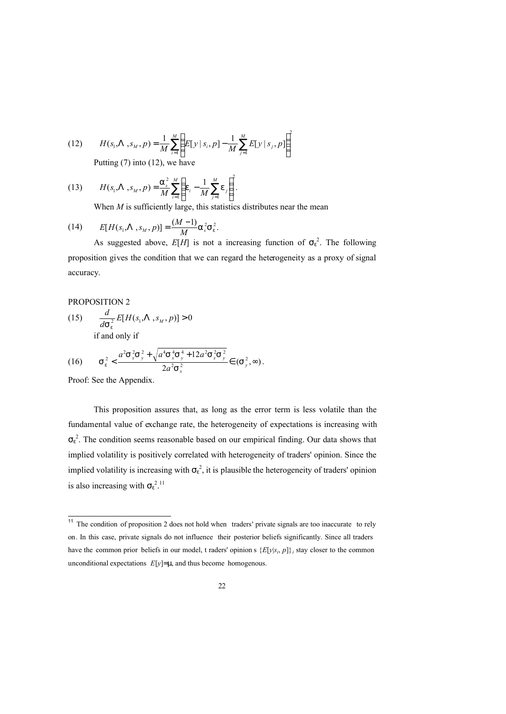(12) 
$$
H(s_1, \Lambda, s_M, p) = \frac{1}{M} \sum_{i=1}^{M} \left( E[y \mid s_i, p] - \frac{1}{M} \sum_{j=1}^{M} E[y \mid s_j, p] \right)^2
$$

Putting (7) into (12), we have

(13) 
$$
H(s_1, \Lambda, s_M, p) = \frac{a_s^2}{M} \sum_{i=1}^{M} \left( e_i - \frac{1}{M} \sum_{j=1}^{M} e_j \right)^2.
$$

When *M* is sufficiently large, this statistics distributes near the mean

(14) 
$$
E[H(s_1, \Lambda, s_M, p)] = \frac{(M-1)}{M} a_s^2 S_e^2.
$$

As suggested above,  $E[H]$  is not a increasing function of  $S_e^2$ . The following proposition gives the condition that we can regard the heterogeneity as a proxy of signal accuracy.

## PROPOSITION 2

(15)  $\frac{a}{dS_p^2} E[H(s_1, \Lambda, s_M, p)] > 0$  $\frac{d}{S_e} E[H(s_1, \Lambda, s_M)]$ 

if and only if

$$
(16) \qquad S_e^2 < \frac{a^2 S_x^2 S_y^2 + \sqrt{a^4 S_x^4 S_y^4 + 12a^2 S_x^2 S_y^2}}{2a^2 S_x^2} \in (S_y^2, \infty).
$$

Proof: See the Appendix.

This proposition assures that, as long as the error term is less volatile than the fundamental value of exchange rate, the heterogeneity of expectations is increasing with  $\sigma_{\varepsilon}^{2}$ . The condition seems reasonable based on our empirical finding. Our data shows that implied volatility is positively correlated with heterogeneity of traders' opinion. Since the implied volatility is increasing with  $S_e^2$ , it is plausible the heterogeneity of traders' opinion is also increasing with  $S_e^{2.11}$ 

 $\overline{a}$ <sup>11</sup> The condition of proposition 2 does not hold when traders' private signals are too inaccurate to rely on. In this case, private signals do not influence their posterior beliefs significantly. Since all traders have the common prior beliefs in our model, t raders' opinion s  $\{E[y|s_i, p]\}$  stay closer to the common unconditional expectations *E*[*y*]=*m*, and thus become homogenous.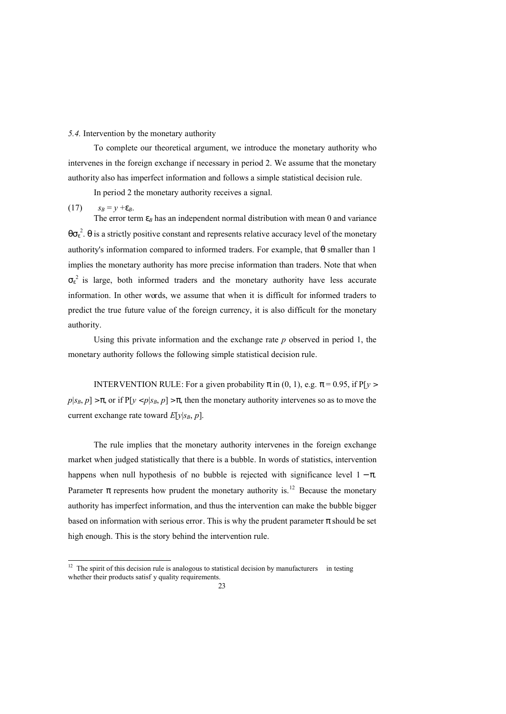#### *5.4.* Intervention by the monetary authority

To complete our theoretical argument, we introduce the monetary authority who intervenes in the foreign exchange if necessary in period 2. We assume that the monetary authority also has imperfect information and follows a simple statistical decision rule.

In period 2 the monetary authority receives a signal.

## (17)  $s_B = y + e_B$ .

-

The error term  $e_B$  has an independent normal distribution with mean 0 and variance *qs<sup>e</sup>* 2 . *q* is a strictly positive constant and represents relative accuracy level of the monetary authority's information compared to informed traders. For example, that *q* smaller than 1 implies the monetary authority has more precise information than traders. Note that when  $\sigma_{\varepsilon}^2$  is large, both informed traders and the monetary authority have less accurate information. In other words, we assume that when it is difficult for informed traders to predict the true future value of the foreign currency, it is also difficult for the monetary authority.

Using this private information and the exchange rate *p* observed in period 1, the monetary authority follows the following simple statistical decision rule.

INTERVENTION RULE: For a given probability  $p$  in (0, 1), e.g.  $p = 0.95$ , if  $P[y >$  $p|s_B, p| > p$ , or if  $P[y < p|s_B, p] > p$ , then the monetary authority intervenes so as to move the current exchange rate toward  $E[y|s_B, p]$ .

The rule implies that the monetary authority intervenes in the foreign exchange market when judged statistically that there is a bubble. In words of statistics, intervention happens when null hypothesis of no bubble is rejected with significance level 1 − *p*. Parameter p represents how prudent the monetary authority is.<sup>12</sup> Because the monetary authority has imperfect information, and thus the intervention can make the bubble bigger based on information with serious error. This is why the prudent parameter *p* should be set high enough. This is the story behind the intervention rule.

 $12$  The spirit of this decision rule is analogous to statistical decision by manufacturers in testing whether their products satisf y quality requirements.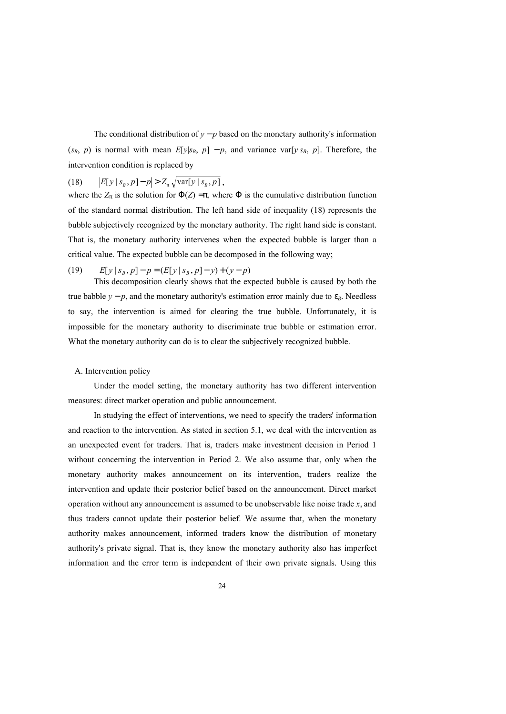The conditional distribution of  $y - p$  based on the monetary authority's information  $(s_B, p)$  is normal with mean  $E[y|s_B, p] - p$ , and variance var $[y|s_B, p]$ . Therefore, the intervention condition is replaced by

# (18)  $|E[y \mid s_B, p] - p| > Z_p \sqrt{\text{var}[y \mid s_B, p]}$ ,

where the  $Z_p$  is the solution for  $\Phi(Z) = p$ , where  $\Phi$  is the cumulative distribution function of the standard normal distribution. The left hand side of inequality (18) represents the bubble subjectively recognized by the monetary authority. The right hand side is constant. That is, the monetary authority intervenes when the expected bubble is larger than a critical value. The expected bubble can be decomposed in the following way;

## (19)  $E[y \mid s_B, p] - p = (E[y \mid s_B, p] - y) + (y - p)$

This decomposition clearly shows that the expected bubble is caused by both the true babble  $y - p$ , and the monetary authority's estimation error mainly due to  $e_B$ . Needless to say, the intervention is aimed for clearing the true bubble. Unfortunately, it is impossible for the monetary authority to discriminate true bubble or estimation error. What the monetary authority can do is to clear the subjectively recognized bubble.

#### A. Intervention policy

Under the model setting, the monetary authority has two different intervention measures: direct market operation and public announcement.

In studying the effect of interventions, we need to specify the traders' information and reaction to the intervention. As stated in section 5.1, we deal with the intervention as an unexpected event for traders. That is, traders make investment decision in Period 1 without concerning the intervention in Period 2. We also assume that, only when the monetary authority makes announcement on its intervention, traders realize the intervention and update their posterior belief based on the announcement. Direct market operation without any announcement is assumed to be unobservable like noise trade *x*, and thus traders cannot update their posterior belief. We assume that, when the monetary authority makes announcement, informed traders know the distribution of monetary authority's private signal. That is, they know the monetary authority also has imperfect information and the error term is independent of their own private signals. Using this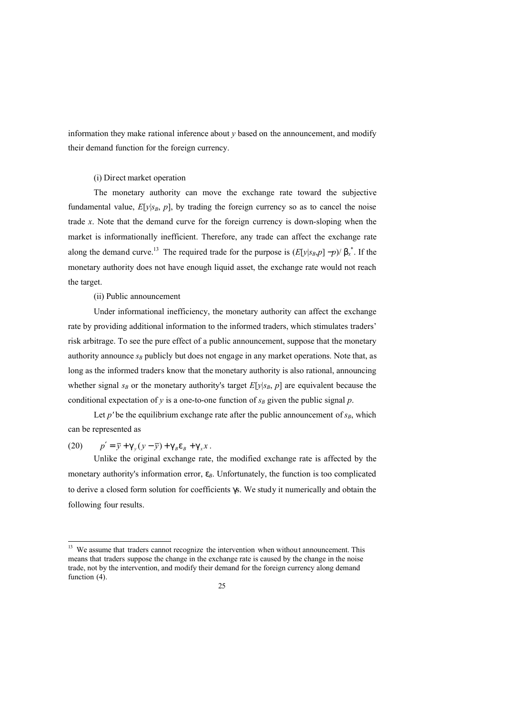information they make rational inference about *y* based on the announcement, and modify their demand function for the foreign currency.

### (i) Direct market operation

The monetary authority can move the exchange rate toward the subjective fundamental value,  $E[y|s_B, p]$ , by trading the foreign currency so as to cancel the noise trade *x*. Note that the demand curve for the foreign currency is down-sloping when the market is informationally inefficient. Therefore, any trade can affect the exchange rate along the demand curve.<sup>13</sup> The required trade for the purpose is  $(E[y|s_B, p] - p)/b_x^*$ . If the monetary authority does not have enough liquid asset, the exchange rate would not reach the target.

#### (ii) Public announcement

Under informational inefficiency, the monetary authority can affect the exchange rate by providing additional information to the informed traders, which stimulates traders' risk arbitrage. To see the pure effect of a public announcement, suppose that the monetary authority announce  $s_B$  publicly but does not engage in any market operations. Note that, as long as the informed traders know that the monetary authority is also rational, announcing whether signal  $s_B$  or the monetary authority's target  $E[y|s_B, p]$  are equivalent because the conditional expectation of  $y$  is a one-to-one function of  $s_B$  given the public signal  $p$ .

Let  $p'$  be the equilibrium exchange rate after the public announcement of  $s_B$ , which can be represented as

(20)  $p' = \bar{y} + g_y(y - \bar{y}) + g_B e_B + g_x x$ .

1

Unlike the original exchange rate, the modified exchange rate is affected by the monetary authority's information error,  $e_B$ . Unfortunately, the function is too complicated to derive a closed form solution for coefficients *g*s. We study it numerically and obtain the following four results.

We assume that traders cannot recognize the intervention when without announcement. This means that traders suppose the change in the exchange rate is caused by the change in the noise trade, not by the intervention, and modify their demand for the foreign currency along demand function  $(4)$ .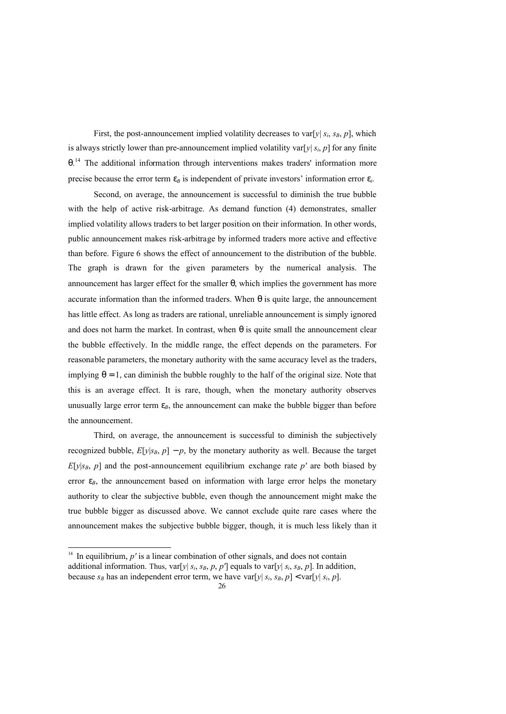First, the post-announcement implied volatility decreases to var[ $y$ |  $s_i$ ,  $s_B$ ,  $p$ ], which is always strictly lower than pre-announcement implied volatility var[*y*| *si*, *p*] for any finite *q*. <sup>14</sup> The additional information through interventions makes traders' information more precise because the error term  $e_B$  is independent of private investors' information error  $e_i$ .

Second, on average, the announcement is successful to diminish the true bubble with the help of active risk-arbitrage. As demand function (4) demonstrates, smaller implied volatility allows traders to bet larger position on their information. In other words, public announcement makes risk-arbitrage by informed traders more active and effective than before. Figure 6 shows the effect of announcement to the distribution of the bubble. The graph is drawn for the given parameters by the numerical analysis. The announcement has larger effect for the smaller *q*, which implies the government has more accurate information than the informed traders. When *q* is quite large, the announcement has little effect. As long as traders are rational, unreliable announcement is simply ignored and does not harm the market. In contrast, when *q* is quite small the announcement clear the bubble effectively. In the middle range, the effect depends on the parameters. For reasonable parameters, the monetary authority with the same accuracy level as the traders, implying  $q = 1$ , can diminish the bubble roughly to the half of the original size. Note that this is an average effect. It is rare, though, when the monetary authority observes unusually large error term  $e_B$ , the announcement can make the bubble bigger than before the announcement.

Third, on average, the announcement is successful to diminish the subjectively recognized bubble,  $E[y|s_B, p] - p$ , by the monetary authority as well. Because the target  $E[y|s_B, p]$  and the post-announcement equilibrium exchange rate  $p'$  are both biased by error  $e_B$ , the announcement based on information with large error helps the monetary authority to clear the subjective bubble, even though the announcement might make the true bubble bigger as discussed above. We cannot exclude quite rare cases where the announcement makes the subjective bubble bigger, though, it is much less likely than it

-

<sup>&</sup>lt;sup>14</sup> In equilibrium,  $p'$  is a linear combination of other signals, and does not contain additional information. Thus,  $var[y| s_i, s_B, p, p']$  equals to  $var[y| s_i, s_B, p]$ . In addition, because  $s_B$  has an independent error term, we have  $var[y|s_i, s_B, p] < var[y|s_i, p]$ .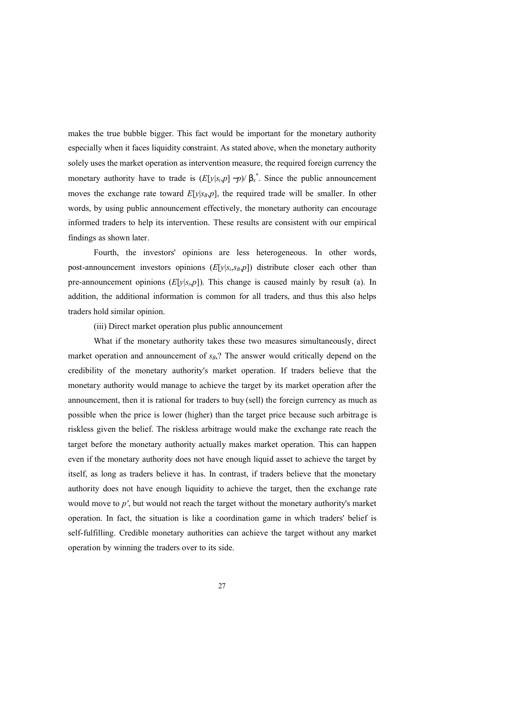makes the true bubble bigger. This fact would be important for the monetary authority especially when it faces liquidity constraint. As stated above, when the monetary authority solely uses the market operation as intervention measure, the required foreign currency the monetary authority have to trade is  $(E[y|s_i,p]-p)/b_x^*$ . Since the public announcement moves the exchange rate toward  $E[y|s_B, p]$ , the required trade will be smaller. In other words, by using public announcement effectively, the monetary authority can encourage informed traders to help its intervention. These results are consistent with our empirical findings as shown later.

Fourth, the investors' opinions are less heterogeneous. In other words, post-announcement investors opinions (*E*[*y*|*si*,*sB*,*p*]) distribute closer each other than pre-announcement opinions  $(E[y|s_i, p])$ . This change is caused mainly by result (a). In addition, the additional information is common for all traders, and thus this also helps traders hold similar opinion.

(iii) Direct market operation plus public announcement

What if the monetary authority takes these two measures simultaneously, direct market operation and announcement of  $s_B$ ? The answer would critically depend on the credibility of the monetary authority's market operation. If traders believe that the monetary authority would manage to achieve the target by its market operation after the announcement, then it is rational for traders to buy (sell) the foreign currency as much as possible when the price is lower (higher) than the target price because such arbitrage is riskless given the belief. The riskless arbitrage would make the exchange rate reach the target before the monetary authority actually makes market operation. This can happen even if the monetary authority does not have enough liquid asset to achieve the target by itself, as long as traders believe it has. In contrast, if traders believe that the monetary authority does not have enough liquidity to achieve the target, then the exchange rate would move to *p'*, but would not reach the target without the monetary authority's market operation. In fact, the situation is like a coordination game in which traders' belief is self-fulfilling. Credible monetary authorities can achieve the target without any market operation by winning the traders over to its side.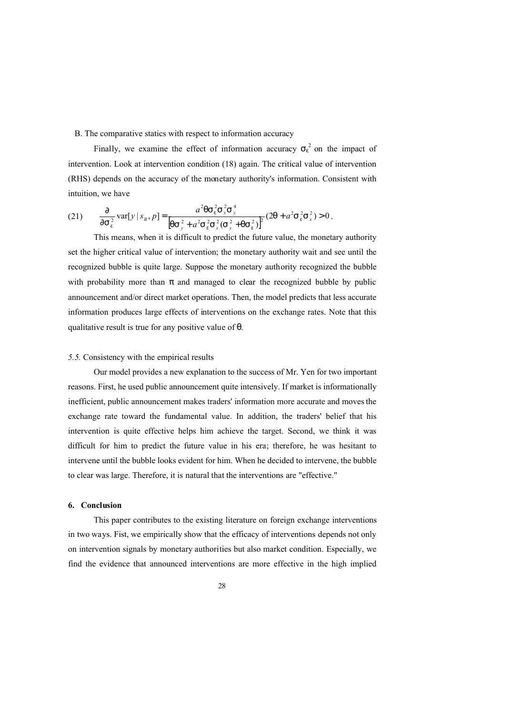B. The comparative statics with respect to information accuracy

Finally, we examine the effect of information accuracy  $s_e^2$  on the impact of intervention. Look at intervention condition (18) again. The critical value of intervention (RHS) depends on the accuracy of the monetary authority's information. Consistent with intuition, we have

(21) 
$$
\frac{\partial}{\partial s_{e}^{2}} \text{var}[y | s_{B}, p] = \frac{a^{2} \text{q} s_{e}^{2} s_{x}^{2} s_{y}^{4}}{\left[\text{q} s_{y}^{2} + a^{2} s_{e}^{2} s_{x}^{2} (s_{y}^{2} + \text{q} s_{e}^{2})\right]^{2}} (2\text{q} + a^{2} s_{e}^{2} s_{x}^{2}) > 0.
$$

This means, when it is difficult to predict the future value, the monetary authority set the higher critical value of intervention; the monetary authority wait and see until the recognized bubble is quite large. Suppose the monetary authority recognized the bubble with probability more than p and managed to clear the recognized bubble by public announcement and/or direct market operations. Then, the model predicts that less accurate information produces large effects of interventions on the exchange rates. Note that this qualitative result is true for any positive value of *q*.

#### *5.5.* Consistency with the empirical results

Our model provides a new explanation to the success of Mr. Yen for two important reasons. First, he used public announcement quite intensively. If market is informationally inefficient, public announcement makes traders' information more accurate and moves the exchange rate toward the fundamental value. In addition, the traders' belief that his intervention is quite effective helps him achieve the target. Second, we think it was difficult for him to predict the future value in his era; therefore, he was hesitant to intervene until the bubble looks evident for him. When he decided to intervene, the bubble to clear was large. Therefore, it is natural that the interventions are "effective."

#### **6. Conclusion**

This paper contributes to the existing literature on foreign exchange interventions in two ways. Fist, we empirically show that the efficacy of interventions depends not only on intervention signals by monetary authorities but also market condition. Especially, we find the evidence that announced interventions are more effective in the high implied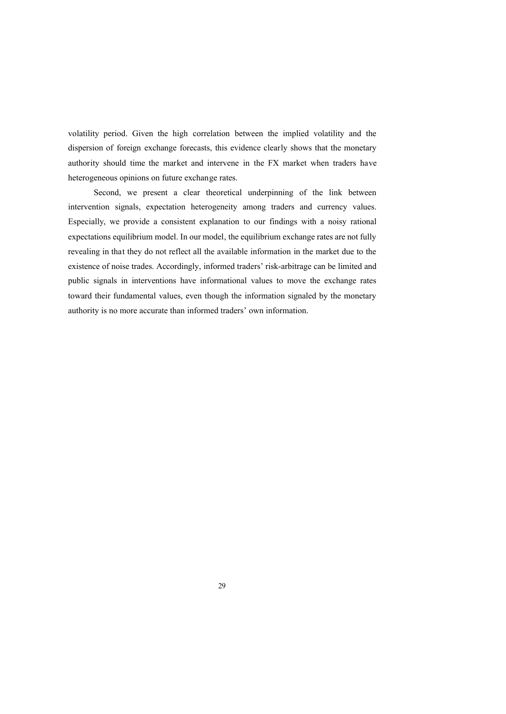volatility period. Given the high correlation between the implied volatility and the dispersion of foreign exchange forecasts, this evidence clearly shows that the monetary authority should time the market and intervene in the FX market when traders have heterogeneous opinions on future exchange rates.

Second, we present a clear theoretical underpinning of the link between intervention signals, expectation heterogeneity among traders and currency values. Especially, we provide a consistent explanation to our findings with a noisy rational expectations equilibrium model. In our model, the equilibrium exchange rates are not fully revealing in that they do not reflect all the available information in the market due to the existence of noise trades. Accordingly, informed traders' risk-arbitrage can be limited and public signals in interventions have informational values to move the exchange rates toward their fundamental values, even though the information signaled by the monetary authority is no more accurate than informed traders' own information.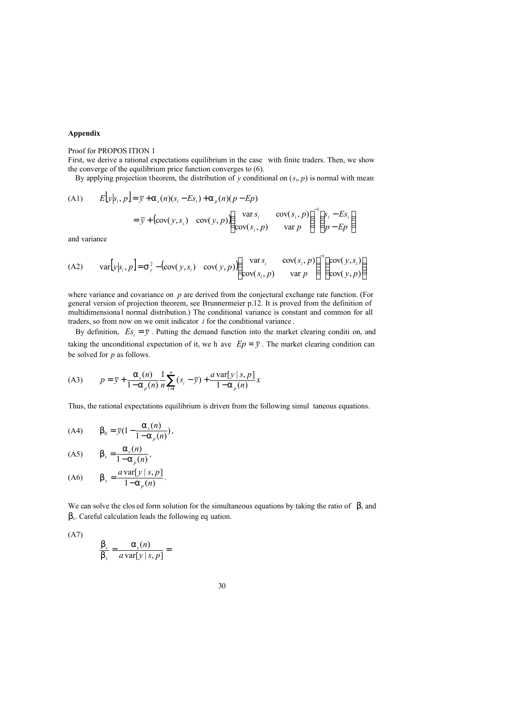#### **Appendix**

#### Proof for PROPOS ITION 1

First, we derive a rational expectations equilibrium in the case with finite traders. Then, we show the converge of the equilibrium price function converges to (6).

By applying projection theorem, the distribution of *y* conditional on  $(s_i, p)$  is normal with mean

(A1) 
$$
E[y|s_i, p] = \overline{y} + a_s(n)(s_i - Es_i) + a_p(n)(p - Ep)
$$

$$
= \overline{y} + (\text{cov}(y, s_i) - \text{cov}(y, p)) \begin{pmatrix} \text{var } s_i & \text{cov}(s_i, p) \\ \text{cov}(s_i, p) & \text{var } p \end{pmatrix}^{-1} \begin{pmatrix} s_i - Es_i \\ p - Ep \end{pmatrix}
$$

and variance

(A2) 
$$
\text{var}[y|s_i, p] = S_y^2 - (\text{cov}(y, s_i) \quad \text{cov}(y, p)) \begin{pmatrix} \text{var } s_i & \text{cov}(s_i, p) \\ \text{cov}(s_i, p) & \text{var } p \end{pmatrix}^{-1} \begin{pmatrix} \text{cov}(y, s_i) \\ \text{cov}(y, p) \end{pmatrix}
$$

where variance and covariance on *p* are derived from the conjectural exchange rate function. (For general version of projection theorem, see Brunnermeier p.12. It is proved from the definition of multidimensiona l normal distribution.) The conditional variance is constant and common for all traders, so from now on we omit indicator *i* for the conditional variance .

By definition,  $E_s = \overline{y}$ . Putting the demand function into the market clearing condition, and taking the unconditional expectation of it, we h ave  $Ep = \overline{y}$ . The market clearing condition can be solved for *p* as follows.

(A3) 
$$
p = \bar{y} + \frac{a_s(n)}{1 - a_p(n)} \frac{1}{n} \sum_{i=1}^n (s_i - \bar{y}) + \frac{a \operatorname{var}[y \mid s, p]}{1 - a_p(n)} x
$$

Thus, the rational expectations equilibrium is driven from the following simul taneous equations.

(A4) 
$$
b_0 = \bar{y}(1 - \frac{a_s(n)}{1 - a_p(n)})
$$
,

$$
\text{(A5)} \qquad \mathbf{b}_s = \frac{\mathbf{a}_s(n)}{1 - \mathbf{a}_p(n)},
$$

(A6) 
$$
b_x = \frac{a \operatorname{var}[y \mid s, p]}{1 - a_p(n)}.
$$

We can solve the clos ed form solution for the simultaneous equations by taking the ratio of  $\,b_s$  and *bx*. Careful calculation leads the following eq uation.

(A7)

$$
\frac{\mathsf{b}_s}{\mathsf{b}_x} = \frac{\mathsf{a}_s(n)}{a \operatorname{var}[y \mid s, p]} =
$$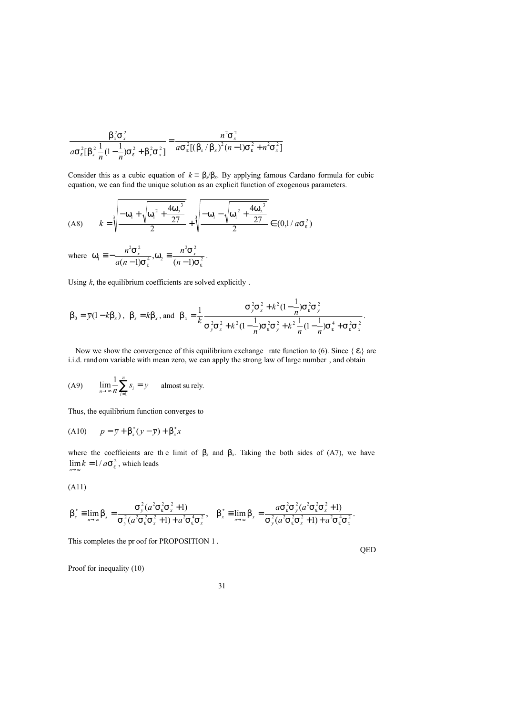$$
\frac{b_x^2 s_x^2}{a s_e^2 [b_s^2 \frac{1}{n} (1 - \frac{1}{n}) s_e^2 + b_x^2 s_x^2]} = \frac{n^2 s_x^2}{a s_e^2 [(b_s/b_x)^2 (n-1) s_e^2 + n^2 s_x^2]}
$$

Consider this as a cubic equation of  $k = b_s/b_x$ . By applying famous Cardano formula for cubic equation, we can find the unique solution as an explicit function of exogenous parameters.

$$
(A8) \qquad k = \sqrt[3]{\frac{-w_1 + \sqrt{w_1^2 + \frac{4w_2^3}{27}}}{2}} + \sqrt[3]{\frac{-w_1 - \sqrt{w_1^2 + \frac{4w_2^3}{27}}}{2}} \in (0, 1/\alpha s_e^2)
$$

where  $W_1 = -\frac{n^2S_x^2}{g(x-1)S_x^4}$ ,  $W_2 = \frac{n^2S_x^2}{(x-1)S_x^2}$ 4, <sup>vv</sup>2  $2 - 2$  $N_1 \equiv -\frac{n \, S_x}{a(n-1)S_e^4}$ ,  $W_2 \equiv \frac{n \, S_x}{(n-1)S_e^2}$  $S_e^4$ ,  $W_2 = \frac{n^2S}{(n-1)^2}$  $W_1 \equiv -\frac{n^2S_x^2}{a(n-1)S_e^4}$ ,  $W_2 \equiv \frac{n^2}{(n-1)^2}$ *n a n*  $n^2S_x^2$ ,  $W_2 \equiv \frac{n^2S_x^2}{(m+1)^2}$ .

Using *k*, the equilibrium coefficients are solved explicitly .

$$
b_0 = \overline{y}(1 - kb_x), \ b_s = kb_x, \text{ and } b_x = \frac{1}{k} \frac{S_y^2 S_x^2 + k^2 (1 - \frac{1}{n}) S_e^2 S_y^2}{S_y^2 S_x^2 + k^2 (1 - \frac{1}{n}) S_e^2 S_y^2 + k^2 \frac{1}{n} (1 - \frac{1}{n}) S_e^4 + S_e^2 S_x^2}.
$$

Now we show the convergence of this equilibrium exchange rate function to (6). Since  $\{e_i\}$  are i.i.d. random variable with mean zero, we can apply the strong law of large number , and obtain

(A9) 
$$
\lim_{n \to \infty} \frac{1}{n} \sum_{i=1}^{n} s_i = y
$$
 almost surely.

Thus, the equilibrium function converges to

(A10) 
$$
p = \bar{y} + b_s^*(y - \bar{y}) + b_x^*x
$$

where the coefficients are the limit of  $b<sub>s</sub>$  and  $b<sub>x</sub>$ . Taking the both sides of (A7), we have  $\lim_{n \to \infty} k = 1/aS_e^2$ , which leads

$$
(A11)
$$

$$
b_s^* = \lim_{n \to \infty} b_s = \frac{S_y^2 (a^2 S_e^2 S_x^2 + 1)}{S_y^2 (a^2 S_e^2 S_x^2 + 1) + a^2 S_e^4 S_x^2}, \quad b_x^* = \lim_{n \to \infty} b_x = \frac{a S_e^2 S_y^2 (a^2 S_e^2 S_x^2 + 1)}{S_y^2 (a^2 S_e^2 S_x^2 + 1) + a^2 S_e^4 S_x^2}.
$$

This completes the pr oof for PROPOSITION 1 .

QED

Proof for inequality (10)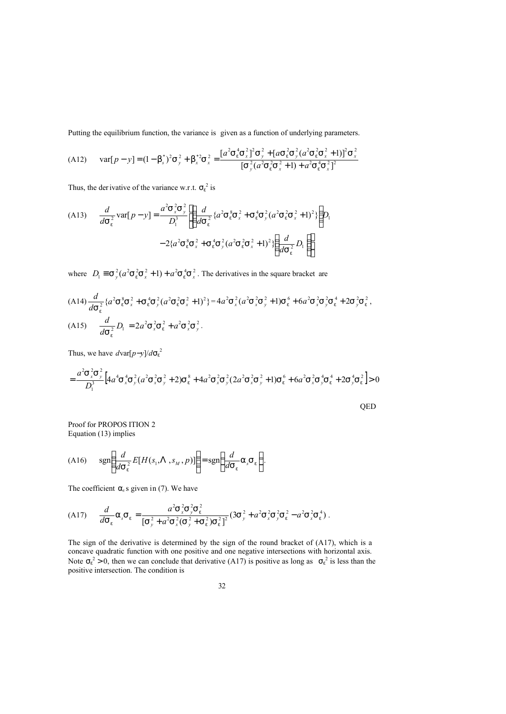Putting the equilibrium function, the variance is given as a function of underlying parameters.

$$
(A12) \quad \text{var}[p - y] = (1 - b_s^*)^2 s_y^2 + b_x^{*2} s_x^2 = \frac{[a^2 s_e^4 s_x^2]^2 s_y^2 + [a s_e^2 s_y^2 (a^2 s_e^2 s_x^2 + 1)]^2 s_x^2}{[s_y^2 (a^2 s_e^2 s_x^2 + 1) + a^2 s_e^4 s_x^2]^2}
$$

Thus, the der ivative of the variance w.r.t.  $S_e^2$  is

(A13) 
$$
\frac{d}{d\mathbf{s}_e^2} \text{var}[p - y] = \frac{a^2 \mathbf{s}_x^2 \mathbf{s}_y^2}{D_i^3} \left[ \left( \frac{d}{d\mathbf{s}_e^2} \{a^2 \mathbf{s}_e^8 \mathbf{s}_x^2 + \mathbf{s}_e^4 \mathbf{s}_y^2 (a^2 \mathbf{s}_e^2 \mathbf{s}_x^2 + 1)^2 \} \right) D_i - 2 \{a^2 \mathbf{s}_e^8 \mathbf{s}_x^2 + \mathbf{s}_e^4 \mathbf{s}_y^2 (a^2 \mathbf{s}_e^2 \mathbf{s}_x^2 + 1)^2 \} \left( \frac{d}{d\mathbf{s}_e^2} D_i \right) \right]
$$

where  $D_1 \equiv S_y^2 (a^2 S_e^2 S_x^2 + 1) + a^2 S_e^4 S_x^2$ . The derivatives in the square bracket are

$$
(A14) \frac{d}{ds_{e}^{2}} \{a^{2}S_{e}^{8}S_{x}^{2} + S_{e}^{4}S_{y}^{2}(a^{2}S_{e}^{2}S_{x}^{2} + 1)^{2}\} = 4a^{2}S_{x}^{2}(a^{2}S_{x}^{2}S_{y}^{2} + 1)S_{e}^{6} + 6a^{2}S_{x}^{2}S_{y}^{2}S_{e}^{4} + 2S_{y}^{2}S_{e}^{2},
$$
\n
$$
(A15) \frac{d}{ds_{e}^{2}}D_{1} = 2a^{2}S_{x}^{2}S_{e}^{2} + a^{2}S_{x}^{2}S_{y}^{2}.
$$

Thus, we have  $d\text{var}[p-y]/d\text{s}_e^2$ 

$$
= \frac{a^2 \mathbf{S}_x^2 \mathbf{S}_y^2}{D_1^3} \Big[ 4a^4 \mathbf{S}_x^4 \mathbf{S}_y^2 (a^2 \mathbf{S}_x^2 \mathbf{S}_y^2 + 2) \mathbf{S}_e^8 + 4a^2 \mathbf{S}_x^2 \mathbf{S}_y^2 (2a^2 \mathbf{S}_x^2 \mathbf{S}_y^2 + 1) \mathbf{S}_e^6 + 6a^2 \mathbf{S}_x^2 \mathbf{S}_y^4 \mathbf{S}_e^4 + 2\mathbf{S}_y^4 \mathbf{S}_e^2 \Big] > 0
$$

QED

Proof for PROPOS ITION 2 Equation (13) implies

(A16) 
$$
\text{sgn}\left(\frac{d}{d\text{S}_{e}^{2}}E[H(s_{1},\Lambda,s_{M},p)]\right) = \text{sgn}\left(\frac{d}{d\text{S}_{e}}a_{s}\text{S}_{e}\right).
$$

The coefficient  $a_s$ s given in (7). We have

$$
(A17) \qquad \frac{d}{dS_e} a_s S_e = \frac{a^2 S_x^2 S_y^2 S_e^2}{\left[S_y^2 + a^2 S_x^2 (S_y^2 + S_e^2) S_e^2\right]^2} (3S_y^2 + a^2 S_x^2 S_y^2 S_e^2 - a^2 S_x^2 S_e^4).
$$

The sign of the derivative is determined by the sign of the round bracket of (A17), which is a concave quadratic function with one positive and one negative intersections with horizontal axis. Note  $s_e^2 > 0$ , then we can conclude that derivative (A17) is positive as long as  $s_e^2$  is less than the positive intersection. The condition is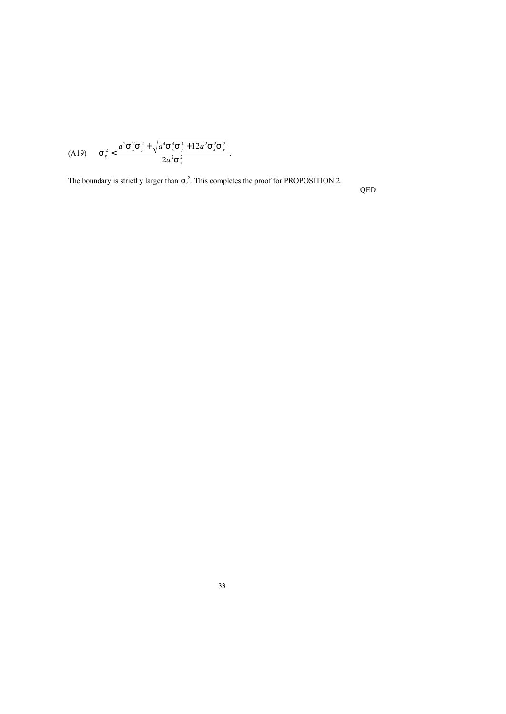$$
\text{(A19)} \qquad \mathbf{S}_e^{\,2} < \frac{a^2 \mathbf{S}_x^{\,2} \mathbf{S}_y^{\,2} + \sqrt{a^4 \mathbf{S}_x^{\,4} \mathbf{S}_y^{\,4} + 12a^2 \mathbf{S}_x^{\,2} \mathbf{S}_y^{\,2}}}{2a^2 \mathbf{S}_x^{\,2}} \,.
$$

The boundary is strictl y larger than  $s_y^2$ . This completes the proof for PROPOSITION 2.

QED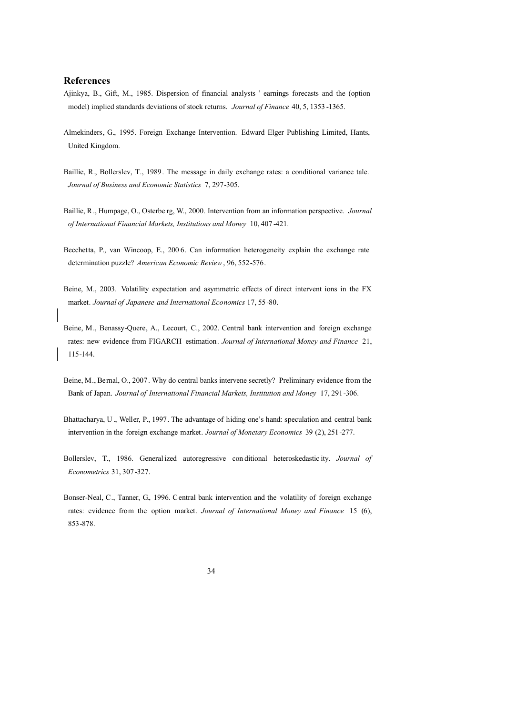#### **References**

- Ajinkya, B., Gift, M., 1985. Dispersion of financial analysts ' earnings forecasts and the (option model) implied standards deviations of stock returns. *Journal of Finance* 40, 5, 1353 -1365.
- Almekinders, G., 1995. Foreign Exchange Intervention. Edward Elger Publishing Limited, Hants, United Kingdom.
- Baillie, R., Bollerslev, T., 1989. The message in daily exchange rates: a conditional variance tale. *Journal of Business and Economic Statistics* 7, 297-305.
- Baillie, R., Humpage, O., Osterbe rg, W., 2000. Intervention from an information perspective. *Journal of International Financial Markets, Institutions and Money* 10, 407 -421.
- Becchetta, P., van Wincoop, E., 200 6. Can information heterogeneity explain the exchange rate determination puzzle? *American Economic Review*, 96, 552-576.
- Beine, M., 2003. Volatility expectation and asymmetric effects of direct intervent ions in the FX market. *Journal of Japanese and International Economics* 17, 55-80.
- Beine, M., Benassy-Quere, A., Lecourt, C., 2002. Central bank intervention and foreign exchange rates: new evidence from FIGARCH estimation. *Journal of International Money and Finance* 21, 115-144.
- Beine, M., Bernal, O., 2007 . Why do central banks intervene secretly? Preliminary evidence from the Bank of Japan. *Journal of International Financial Markets, Institution and Money* 17, 291-306.
- Bhattacharya, U., Weller, P., 1997. The advantage of hiding one's hand: speculation and central bank intervention in the foreign exchange market. *Journal of Monetary Economics* 39 (2), 251-277.
- Bollerslev, T., 1986. General ized autoregressive con ditional heteroskedastic ity. *Journal of Econometrics* 31, 307-327.
- Bonser-Neal, C., Tanner, G., 1996. Central bank intervention and the volatility of foreign exchange rates: evidence from the option market. *Journal of International Money and Finance* 15 (6), 853-878.
	- 34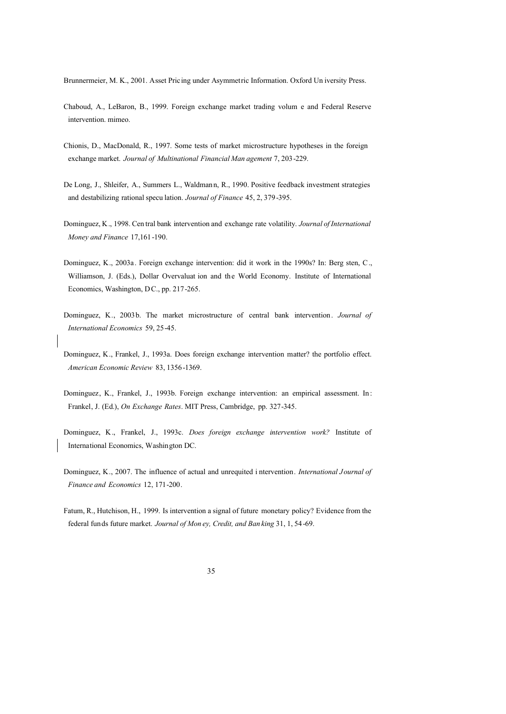Brunnermeier, M. K., 2001. Asset Pricing under Asymmetric Information. Oxford Un iversity Press.

- Chaboud, A., LeBaron, B., 1999. Foreign exchange market trading volum e and Federal Reserve intervention. mimeo.
- Chionis, D., MacDonald, R., 1997. Some tests of market microstructure hypotheses in the foreign exchange market. *Journal of Multinational Financial Man agement* 7, 203-229.
- De Long, J., Shleifer, A., Summers L., Waldmann, R., 1990. Positive feedback investment strategies and destabilizing rational specu lation. *Journal of Finance* 45, 2, 379-395.
- Dominguez, K., 1998. Cen tral bank intervention and exchange rate volatility. *Journal of International Money and Finance* 17,161-190.
- Dominguez, K., 2003a. Foreign exchange intervention: did it work in the 1990s? In: Berg sten, C., Williamson, J. (Eds.), Dollar Overvaluat ion and the World Economy. Institute of International Economics, Washington, DC., pp. 217-265.
- Dominguez, K., 2003b. The market microstructure of central bank intervention. *Journal of International Economics* 59, 25-45.
- Dominguez, K., Frankel, J., 1993a. Does foreign exchange intervention matter? the portfolio effect. *American Economic Review* 83, 1356-1369.
- Dominguez, K., Frankel, J., 1993b. Foreign exchange intervention: an empirical assessment. In : Frankel, J. (Ed.), *On Exchange Rates*. MIT Press, Cambridge, pp. 327-345.
- Dominguez, K., Frankel, J., 1993c. *Does foreign exchange intervention work?* Institute of International Economics, Washington DC.
- Dominguez, K., 2007. The influence of actual and unrequited i ntervention. *International Journal of Finance and Economics* 12, 171-200.
- Fatum, R., Hutchison, H., 1999. Is intervention a signal of future monetary policy? Evidence from the federal funds future market. *Journal of Mon ey, Credit, and Ban king* 31, 1, 54-69.
	- 35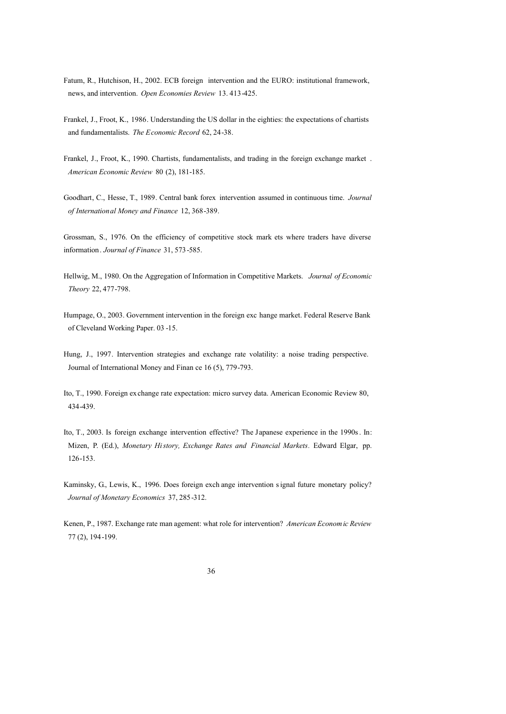- Fatum, R., Hutchison, H., 2002. ECB foreign intervention and the EURO: institutional framework, news, and intervention. *Open Economies Review* 13. 413-425.
- Frankel, J., Froot, K., 1986. Understanding the US dollar in the eighties: the expectations of chartists and fundamentalists. *The Economic Record* 62, 24-38.
- Frankel, J., Froot, K., 1990. Chartists, fundamentalists, and trading in the foreign exchange market . *American Economic Review* 80 (2), 181-185.
- Goodhart, C., Hesse, T., 1989. Central bank forex intervention assumed in continuous time. *Journal of International Money and Finance* 12, 368-389.

Grossman, S., 1976. On the efficiency of competitive stock mark ets where traders have diverse information. *Journal of Finance* 31, 573-585.

- Hellwig, M., 1980. On the Aggregation of Information in Competitive Markets. *Journal of Economic Theory* 22, 477-798.
- Humpage, O., 2003. Government intervention in the foreign exc hange market. Federal Reserve Bank of Cleveland Working Paper. 03 -15.
- Hung, J., 1997. Intervention strategies and exchange rate volatility: a noise trading perspective. Journal of International Money and Finan ce 16 (5), 779-793.
- Ito, T., 1990. Foreign exchange rate expectation: micro survey data. American Economic Review 80, 434-439.
- Ito, T., 2003. Is foreign exchange intervention effective? The Japanese experience in the 1990s. In: Mizen, P. (Ed.), *Monetary History, Exchange Rates and Financial Markets.* Edward Elgar, pp. 126-153.
- Kaminsky, G., Lewis, K., 1996. Does foreign exch ange intervention signal future monetary policy? *Journal of Monetary Economics* 37, 285-312.
- Kenen, P., 1987. Exchange rate man agement: what role for intervention? *American Economic Review* 77 (2), 194-199.
	- 36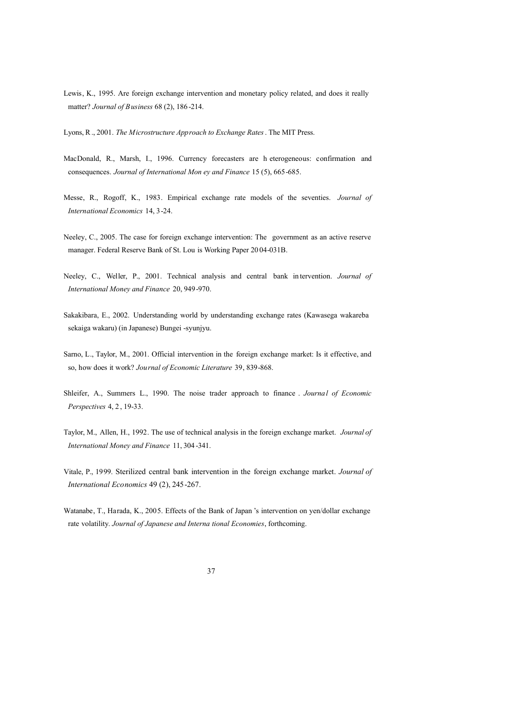- Lewis, K., 1995. Are foreign exchange intervention and monetary policy related, and does it really matter? *Journal of Business* 68 (2), 186 -214.
- Lyons, R., 2001. *The Microstructure Approach to Exchange Rates*. The MIT Press.
- MacDonald, R., Marsh, I., 1996. Currency forecasters are h eterogeneous: confirmation and consequences. *Journal of International Mon ey and Finance* 15 (5), 665-685.
- Messe, R., Rogoff, K., 1983. Empirical exchange rate models of the seventies. *Journal of International Economics* 14, 3-24.
- Neeley, C., 2005. The case for foreign exchange intervention: The government as an active reserve manager. Federal Reserve Bank of St. Lou is Working Paper 20 04-031B.
- Neeley, C., Weller, P., 2001. Technical analysis and central bank in tervention. *Journal of International Money and Finance* 20, 949-970.
- Sakakibara, E., 2002. Understanding world by understanding exchange rates (Kawasega wakareba sekaiga wakaru) (in Japanese) Bungei -syunjyu.
- Sarno, L., Taylor, M., 2001. Official intervention in the foreign exchange market: Is it effective, and so, how does it work? *Journal of Economic Literature* 39, 839-868.
- Shleifer, A., Summers L., 1990. The noise trader approach to finance . *Journal of Economic Perspectives* 4, 2 , 19-33.
- Taylor, M., Allen, H., 1992. The use of technical analysis in the foreign exchange market. *Journal of International Money and Finance* 11, 304 -341.
- Vitale, P., 1999. Sterilized central bank intervention in the foreign exchange market. *Journal of International Economics* 49 (2), 245-267.
- Watanabe, T., Harada, K., 2005. Effects of the Bank of Japan 's intervention on yen/dollar exchange rate volatility. *Journal of Japanese and Interna tional Economies*, forthcoming.
	- 37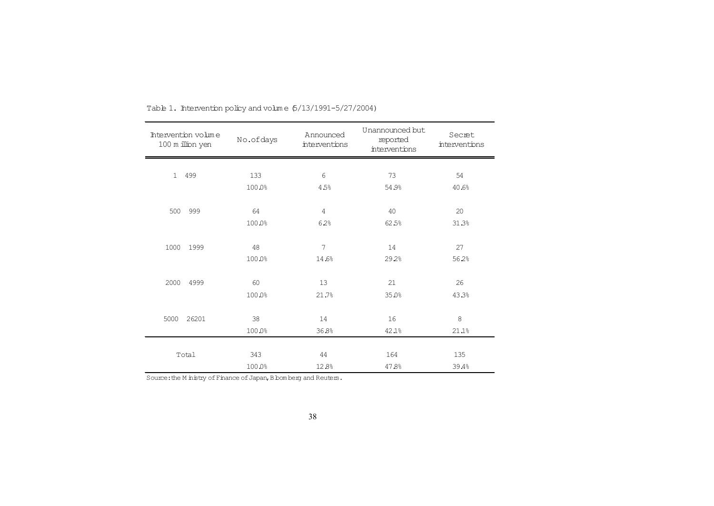| Intervention volume<br>100 m illion yen | No.ofdays | Announced<br><i>interventions</i> | Unannounced but<br>reported<br>interventions | Secret<br>interventions |
|-----------------------------------------|-----------|-----------------------------------|----------------------------------------------|-------------------------|
|                                         |           |                                   |                                              |                         |
| 1 499                                   | 133       | 6                                 | 73                                           | 54                      |
|                                         | 100.0%    | 4.5%                              | 54.9%                                        | 40.6%                   |
|                                         |           |                                   |                                              |                         |
| 500<br>999                              | 64        | $\overline{4}$                    | 40                                           | 20                      |
|                                         | 100.0%    | 62%                               | 62.5%                                        | 31.3%                   |
|                                         |           |                                   |                                              |                         |
| 1999<br>1000                            | 48        | 7                                 | 14                                           | 27                      |
|                                         | 100.0%    | 14.6%                             | 29.2%                                        | 56.2%                   |
|                                         |           |                                   |                                              |                         |
| 2000<br>4999                            | 60        | 13                                | 21                                           | 26                      |
|                                         | 100.0%    | 21.7%                             | 35.0%                                        | 43.3%                   |
|                                         |           |                                   |                                              |                         |
| 5000<br>26201                           | 38        | 14                                | 16                                           | 8                       |
|                                         | 100.0%    | 36.8%                             | 42.1%                                        | 21.1%                   |
|                                         |           |                                   |                                              |                         |
| Total                                   | 343       | 44                                | 164                                          | 135                     |
|                                         | 100.0%    | 12.8%                             | 47.8%                                        | 39.4%                   |

Table 1. Intervention policy and volume  $6/13/1991-5/27/2004$ )

Source: the M inistry of Finance of Japan, B bom berg and Reuters.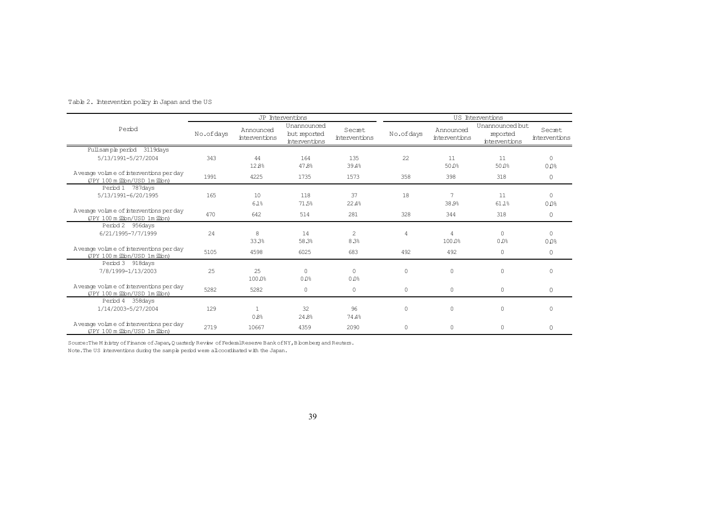| Table 2. Intervention policy in Japan and the US |  |  |
|--------------------------------------------------|--|--|
|                                                  |  |  |

|                                                                             |           |                            | JP Interventions                             |                                |              |                            | US Interventions                             |                         |
|-----------------------------------------------------------------------------|-----------|----------------------------|----------------------------------------------|--------------------------------|--------------|----------------------------|----------------------------------------------|-------------------------|
| Perod                                                                       | No.ofdays | Announced<br>interventions | Unannounced<br>but reported<br>interventions | Secret<br><i>interventions</i> | No.ofdays    | Announced<br>interventions | Unannounced but<br>reported<br>interventions | Secret<br>interventions |
| Fullsample period 3119days                                                  |           |                            |                                              |                                |              |                            |                                              |                         |
| 5/13/1991-5/27/2004                                                         | 343       | 44<br>128%                 | 164<br>47.8%                                 | 135<br>39.4%                   | 22           | 11<br>50.0%                | 11<br>50.0%                                  | $\Omega$<br>0.0%        |
| Average volume of interventions per day<br>(JPY 100 m illion/USD 1m illion) | 1991      | 4225                       | 1735                                         | 1573                           | 358          | 398                        | 318                                          | $\circ$                 |
| Period 1 787 days<br>5/13/1991-6/20/1995                                    | 165       | 10                         | 118                                          | 37                             | 18           | $\overline{7}$             | 11                                           | $\Omega$                |
| Average volume of interventions per day<br>(JPY 100 m illion/USD 1m illion) | 470       | 6.1%<br>642                | 71.5%<br>514                                 | 22.4%<br>281                   | 328          | 38.9%<br>344               | 61.1%<br>318                                 | 0.0%<br>$\circ$         |
| Period 2 956 days<br>6/21/1995-7/7/1999                                     | 24        | 8<br>33.3%                 | 14<br>58.3%                                  | $\overline{c}$<br>8.3%         | 4            | 4<br>100.0%                | $\Omega$<br>0.0%                             | $\Omega$<br>0.0%        |
| Average volume of interventions per day<br>(JPY 100 m illion/USD 1m illion) | 5105      | 4598                       | 6025                                         | 683                            | 492          | 492                        | $\circ$                                      | $\circ$                 |
| Period 3 918 days<br>7/8/1999-1/13/2003                                     | 25        | 25<br>100.0%               | $\Omega$<br>0.0%                             | $\Omega$<br>0.0%               | $\circ$      | 0                          | $\circ$                                      | $\mathbf{0}$            |
| Average volume of interventions per day<br>(JPY 100 m illion/USD 1m illion) | 5282      | 5282                       | $\circ$                                      | 0                              | $\circ$      | $\circ$                    | $\mathbb O$                                  | $\circ$                 |
| Period 4 358 days<br>1/14/2003-5/27/2004                                    | 129       | $\mathbf{1}$<br>0.8%       | 32<br>24.8%                                  | 96<br>74.4%                    | $\mathbf{0}$ | 0                          | $\circ$                                      | $\mathbf{0}$            |
| Average volme of interventions per day<br>(JPY 100 m illion/USD 1m illion)  | 2719      | 10667                      | 4359                                         | 2090                           | $\mathbb O$  | 0                          | $\circ$                                      | $\circ$                 |

Source: The M inistry of Finance of Japan, Quarterly Review of Federal Reserve Bank of NY, B bomberg and Reuters.

Note.The US interventions during the sample period were allcoordinated with the Japan.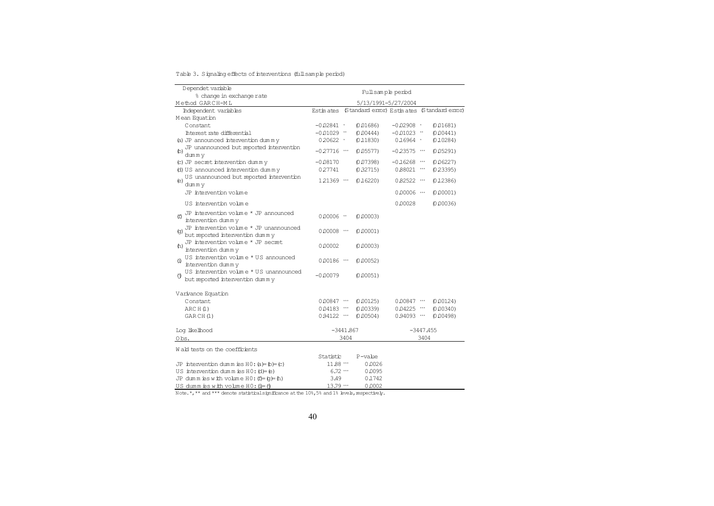Table 3. Signaling effects of interventions (full sample period)

| Dependet variable<br>Fullsample period                                                          |                |      |                                           |                |             |           |
|-------------------------------------------------------------------------------------------------|----------------|------|-------------------------------------------|----------------|-------------|-----------|
| % change in exchange rate                                                                       |                |      |                                           |                |             |           |
| Method GARCH-ML                                                                                 |                |      | 5/13/1991-5/27/2004                       |                |             |           |
| Independent variables                                                                           | Estin ates     |      | (Standard emor) Estimates (Standard emor) |                |             |           |
| Mean Equation                                                                                   |                |      |                                           |                |             |           |
| Constant.                                                                                       | $-0.02841$ *   |      | (0.01686)                                 | $-0.02908$ *   |             | (0.01681) |
| Interest rate differential                                                                      | $-0.01029$ **  |      | (0.00444)                                 | $-0.01023$ **  |             | (0.00441) |
| (a) JP announced intervention dummy                                                             | $0.20622$ *    |      | (0.11830)                                 | $0.16964$ *    |             | (0.10284) |
| JP unannounced but reported intervention<br>$\circ$<br>dumm y                                   | $-0.27716$ *** |      | (0.05577)                                 | $-0.23575$ *** |             | (0.05291) |
| (c) JP secret intervention dummy                                                                | $-0.08170$     |      | (0.07398)                                 | $-0.16268$ *** |             | (0.06227) |
| (d) US announced intervention dummy                                                             | 027741         |      | (0.32715)                                 | 0.88021 ***    |             | (0.23395) |
| US unannounced but reported intervention<br>(e)<br>dummy                                        | 121369 ***     |      | (0.16220)                                 | 0.82522 ***    |             | (0.12386) |
| JP intervention volme                                                                           |                |      |                                           | $0.00006$      |             | (0.00001) |
| US intervention volme                                                                           |                |      |                                           | 0.00028        |             | (0.00036) |
| JP intervention volume * JP announced<br>(f)<br>intervention dummy                              | $0.00006$ **   |      | (0.00003)                                 |                |             |           |
| JP intervention volume * JP unannounced<br>$\left( q\right)$<br>but reported intervention dummy | $0.00008$ ***  |      | (0.00001)                                 |                |             |           |
| JP intervention volume * JP secret<br>(h)<br>intervention dummy                                 | 0.00002        |      | (0.00003)                                 |                |             |           |
| US intervention volme * US announced<br>Φ<br>intervention dummy                                 | $0.00186$ ***  |      | (0.00052)                                 |                |             |           |
| US intervention volume * US unannounced<br>Θ<br>but reported intervention dummy                 | $-0.00079$     |      | (0.00051)                                 |                |             |           |
| Varivance Equation                                                                              |                |      |                                           |                |             |           |
| Constant                                                                                        | $0.00847$ ***  |      | (0.00125)                                 | $0.00847$ ***  |             | (0.00124) |
| ARC H (1)                                                                                       | $0.04183$ ***  |      | (0.00339)                                 | $0.04225$ ***  |             | (0.00340) |
| GARCH(1)                                                                                        | $0.94122$ ***  |      | (0.00504)                                 | 0.94093 ***    |             | (0.00498) |
| Log likelhood                                                                                   | $-3441.867$    |      |                                           |                | $-3447.455$ |           |
| Obs.                                                                                            |                | 3404 |                                           |                | 3404        |           |
| Wald tests on the coefficients                                                                  |                |      |                                           |                |             |           |
|                                                                                                 | Statistic      |      | $P$ -valie                                |                |             |           |
| JP intervention dumm ies $H0$ : (a)= (c)                                                        | 11.88 ***      |      | 0.0026                                    |                |             |           |
| US intervention dumm is $H0: (d) = (e)$                                                         | $6.72$ ***     |      | 0.0095                                    |                |             |           |
| JP dumm ies with volume $H0: (f)= (q)$ = h)                                                     | 3.49           |      | 0.1742                                    |                |             |           |
| US dumm is with volume $H0: (i) = (i)$                                                          | 13.79 ***      |      | 0.0002                                    |                |             |           |

Note.\*,\*\* and \*\*\* denote statistical significance at the 10%,5% and 1% levels, respectively.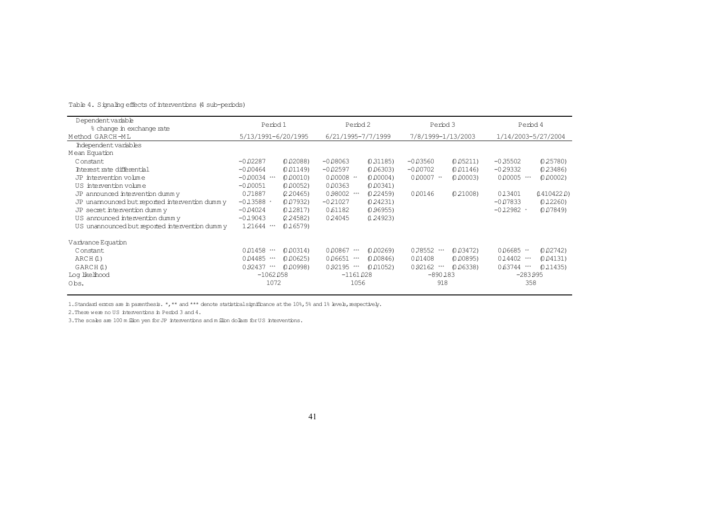| Dependentvariable                              | Period 1                    | Period 2                  | Period 3                      | Period 4                   |  |
|------------------------------------------------|-----------------------------|---------------------------|-------------------------------|----------------------------|--|
| % change in exchange rate                      |                             |                           |                               |                            |  |
| Method GARCH-ML                                | 5/13/1991-6/20/1995         | 6/21/1995-7/7/1999        | 7/8/1999-1/13/2003            | 1/14/2003-5/27/2004        |  |
| Independent variables                          |                             |                           |                               |                            |  |
| Mean Equation                                  |                             |                           |                               |                            |  |
| Constant                                       | $-0.02287$<br>(0.02088)     | $-0.08063$<br>(0.31185)   | $-0.03560$<br>(0.05211)       | $-0.35502$<br>(0.25780)    |  |
| Interest rate differential                     | $-0.00464$<br>(0.01149)     | $-0.02597$<br>(0.06303)   | $-0.00702$<br>(0.01146)       | $-0.29332$<br>(0.23486)    |  |
| JP intervention volume                         | $-0.00034$ ***<br>(0.00010) | $0.00008$ **<br>(0.00004) | $0.00007$ **<br>(0.00003)     | 0.00005 ***<br>(0.00002)   |  |
| US intervention volume                         | $-0.00051$<br>(0.00052)     | 0.00363<br>(0.00341)      |                               |                            |  |
| JP announced intervention dummy                | 0.71887<br>(2, 20465)       | 0.98002 ***<br>(0.22459)  | 000146<br>(0, 21008)          | 013401<br>(14104220)       |  |
| JP unannounced but reported intervention dummy | $-0.13588$ *<br>(0.07932)   | $-0.21027$<br>(0.24231)   |                               | (0.12260)<br>$-0.07833$    |  |
| JP secret intervention dummy                   | $-0.04024$<br>(0,12817)     | 0.61182<br>(0.96955)      |                               | $-0.12982$ *<br>(0.07849)  |  |
| US announced intervention dummy                | $-0.19043$<br>(2, 24582)    | 024045<br>(1, 24923)      |                               |                            |  |
| US unannounced but reported intervention dummy | 121644 ***<br>(0.16579)     |                           |                               |                            |  |
| Varivance Equation                             |                             |                           |                               |                            |  |
| Constant                                       | 0.01458 ***<br>(0.00314)    | 0.00867 ***<br>(0.00269)  | (0.03472)<br>0.78552<br>$***$ | (0.02742)<br>006685 **     |  |
| ARCH(1)                                        | 0.04485 ***<br>(0.00625)    | 0.06651 ***<br>(0.00846)  | 001408<br>(0.00895)           | $0.14402$ ***<br>(0.04131) |  |
| GARCH(1)                                       | $0.92437$ ***<br>(0.00998)  | 0.92195 ***<br>(0.01052)  | $0.92162$ ***<br>(0.06338)    | 0.63744 ***<br>(0.11435)   |  |
| Log likelihood                                 | $-1062058$                  | $-1161028$                | $-890183$                     | $-283.995$                 |  |
| Obs.                                           | 1072                        | 1056                      | 918                           | 358                        |  |

#### Table 4. Signaling effects of interventions (4 sub-periods)

1. Standard enrors are in parenthesis. \*,\*\* and \*\*\* denote statistical significance at the 10%, 5% and 1% levels, respectively.

2.There were no US interventions in Period 3 and 4.

3.The scales are 100 m ilion yen forJP interventions and milion dollars forUS interventions.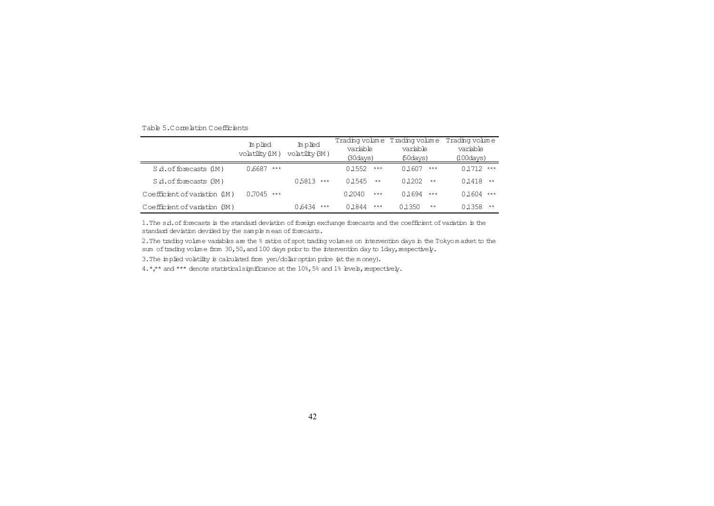| Table 5.Comelation Coefficients |
|---------------------------------|
|                                 |

|                               | Implied<br>volatility (IM) | Inplied<br>volatility BM) | Trading volume<br>variable<br>(30 days) | Trading volum e<br>variable<br>$60 days$ ) | Trading volume<br>variable<br>(100 days) |
|-------------------------------|----------------------------|---------------------------|-----------------------------------------|--------------------------------------------|------------------------------------------|
| Sd.offorecasts (1M)           | 0.6687<br>***              |                           | 0.1552<br>***                           | 0.1607<br>***                              | $0.1712$ ***                             |
| S.d. of forecasts (3M)        |                            | 0.5813<br>$***$           | 0.1545<br>**                            | 0.1202<br>$**$                             | 0.1418<br>**                             |
| Coefficient of variation (IM) | 0.7045<br>$***$            |                           | 0.2040<br>$***$                         | 0.1694<br>$***$                            | $0.1604$ ***                             |
| Coefficient of variation (BM) |                            | 0.6434<br>***             | 0.1844<br>$***$                         | 0.1350<br>$**$                             | 01358<br>**                              |

1. The s.d. of forecasts is the standard deviation of foreign exchange forecasts and the coefficient of variation is the standard deviation devided by the sample mean of forecasts.

2. The trading volume variables are the % ratios of spot trading volumes on intervention days in the Tokyo market to the sum of trading volume from 30,50, and 100 days prior to the intervention day to 1day, respectively.

3. The implied volatility is calculated from yen/dollar option price (at the money).

4.\*,\*\* and \*\*\* denote statisticalsignificance at the 10%, 5% and 1% levels, respectively.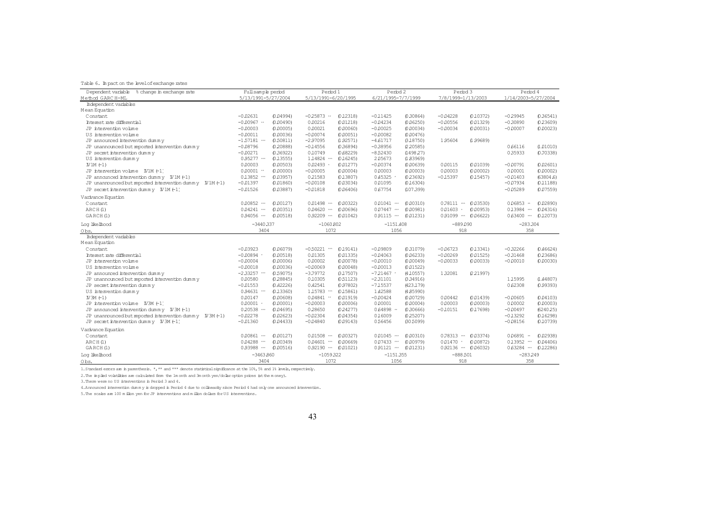#### Table 6. Im pact on the level of exchange rates

| Dependent variable<br>% change in exchange rate           | Full sample period          | Period 1                                 | Period 2                      | Period 3                         | Period 4                                    |
|-----------------------------------------------------------|-----------------------------|------------------------------------------|-------------------------------|----------------------------------|---------------------------------------------|
| Method GARC H-ML                                          | 5/13/1991-5/27/2004         | 5/13/1991-6/20/1995                      | 6/21/1995-7/7/1999            | 7/8/1999-1/13/2003               | 1/14/2003-5/27/2004                         |
| Independent variables                                     |                             |                                          |                               |                                  |                                             |
| Mean Equation                                             |                             |                                          |                               |                                  |                                             |
| Constant                                                  | $-0.02631$<br>(0.04994)     | $-0.25873$ **<br>0.12318                 | (0.30864)<br>$-0.11425$       | (0.10372)<br>$-0.04228$          | 0.36541<br>$-0.29945$                       |
| Interest rate differential                                | $-0.00967$ **<br>(0.00490)  | 001218)<br>0.00216                       | $-0.04234$<br>(0.06250)       | $-0.00556$<br>(0.01329)          | $-0.30890$<br>(0.23609)                     |
| JP intervention volume                                    | $-0.00003$<br>(0.00005)     | 0.00021<br>(0.00060)                     | $-0.00025$<br>(0.00034)       | $-0.00034$<br>(0.00031)          | $-0.00007$<br>(0.00023)                     |
| US intervention volume                                    | $-0.00011$<br>(0.00036)     | $-0.00074$<br>(0.00051)                  | $-0.00082$<br>(0.00476)       |                                  |                                             |
| JP announced intervention dummy                           | $-1.57181$ ***<br>(0.50811) | $-2.97095$<br>(1.92571)                  | $-4.61717$<br>(3, 18750)      | 1,95604<br>(1.99689)             |                                             |
| JP unannounced but reported intervention dummy            | $-0.08796$<br>(0.20888)     | (0.36894)<br>$-0.14556$                  | $-0.38956$<br>(2, 20585)      |                                  | 0.66116<br>(1.01010)                        |
| JP secret intervention dummy                              | $-0.00271$<br>(0.36922)     | 0.10749<br>(0.68229)                     | $-8,52430$<br>(1498.27)       |                                  | 0.35933<br>(0.70338)                        |
| US intervention dummy                                     | $0.95277$ ***<br>(0.13555)  | $1.14824$ ***<br>0.16245                 | 205673<br>(1.83969)           |                                  |                                             |
| $N1M$ $(-1)$                                              | 0.00003<br>(0.00503)        | 0.02493<br>0.01277                       | $-0.00374$<br>(0.00639)       | 0.00115<br>(0.01039)             | $-0.00791$<br>0.02601                       |
|                                                           | $0.00001$ **<br>(0.00000)   | $-0.00005$<br>0.00004                    | 0.00003<br>(0.00003)          | (0.00002)<br>0.00003             | 0.00002<br>0.00001                          |
| JP announced intervention dummy $W1M(-1)$                 | $0.13852$ ***<br>(0.03957)  | 021583<br>(0.13807)                      | 0.45325<br>023692             | $-0.15397$<br>(0.15457)          | $-0.01403$<br>(63804.6)                     |
| JP unanrounced but reported intervention dummy $V1M$ (-1) | $-0.01397$<br>(0.01860)     | $-0.00108$<br>(0.03034)                  | 0.01095<br>(0.16304)          |                                  | $-0.07934$<br>0.11188                       |
|                                                           | $-0.01526$<br>(0.03887)     | $-0.01818$<br>(0.06406)                  | 0.67754<br>(107.399)          |                                  | $-0.05289$<br>(0.07559)                     |
|                                                           |                             |                                          |                               |                                  |                                             |
| Varivance Equation<br>Constant                            | $0.00852$ ***<br>(0.00127)  | 0.01498<br>0.00322)<br>$***$             | (0.00310)<br>$0.01041$ ***    | (0.03530)<br>$0.78111$ **        | $0.06853$ **<br>(0.02890)                   |
| ARCH(1)                                                   | $0.04241$ ***<br>(0.00351)  | 0.04620<br>0.00696)<br>$\star\star\star$ | $0.07447$ ***<br>0.00981)     | 0.01603<br>(0.00953)<br>$\star$  | 013984<br>(0.04316)<br>$^{\star\star\star}$ |
| GARCH(1)                                                  | $0.94056$ **<br>(0.00518)   | $0.92209$ ***<br>0.01042                 | $0.91115$ **<br>0.01231       | 0.91099 *** 0.06622)             | $0.63400$ ***<br>(0.12073)                  |
|                                                           |                             |                                          |                               |                                  |                                             |
| Log like lhood                                            | $-3440.337$                 | $-1060802$                               | $-1151.408$                   | $-889.090$                       | $-283.304$                                  |
| Obs.                                                      | 3404                        | 1072                                     | 1056                          | 918                              | 358                                         |
| Independent variables                                     |                             |                                          |                               |                                  |                                             |
| Mean Equation                                             |                             |                                          |                               |                                  |                                             |
| Constant                                                  | $-0.03923$<br>(0.06079)     | $-0.50221$<br>(0.19141)                  | $-0.09809$<br>(0.31079)       | $-0.06723$<br>(0.13341)          | $-0.32266$<br>0.46624                       |
| Interest rate differential                                | $-0.00894$ *<br>(0.00518)   | 0.01305<br>(0.01335)                     | $-0.04063$<br>(0.06233)       | $-0.00269$<br>(0.01525)          | $-0.31468$<br>(0.23686)                     |
| JP intervention volume                                    | $-0.00004$<br>(0.00006)     | 0.00002<br>(0.00078)                     | $-0.00010$<br>(0.00049)       | $-0.00033$<br>(0.00033)          | $-0.00010$<br>(0.00030)                     |
| US intervention volume                                    | $-0.00018$<br>(0.00036)     | $-0.00069$<br>(0.00048)                  | $-0.00013$<br>(0.01522)       |                                  |                                             |
| JP announced intervention dummy                           | $-2.33257$ ***<br>(0.59075) | $-3.79772$<br>(317507)                   | (4.10557)<br>$-721467$        | 1 3 2 0 8 1<br>(221997)          |                                             |
| JP unannounced but reported intervention dummy            | 0.00580<br>(0.28845)        | 0.10305<br>(0.51123)                     | <b>(334916)</b><br>$-2.31101$ |                                  | 115995<br>(1.44807)                         |
| JP secret intervention dummy                              | $-0.01553$<br>(0.42226)     | 0.42541<br>(0.97802)                     | $-715537$<br>(423.179)        |                                  | 0.62308<br>(0.99393)                        |
| US intervention dummy                                     | $0.94631$ **<br>(0.13360)   | $1.15783$ **<br>0.15861                  | 1,42588<br>(485990)           |                                  |                                             |
| $N3M$ $(-1)$                                              | 0.00147<br>(0.00608)        | (0.01919)<br>$0.04841$ **                | $-0.00424$<br>(0.00729)       | 0.00442<br>(0.01439)             | (0.04103)<br>$-0.00605$                     |
|                                                           | $0.00001$ *<br>(0.00001)    | $-0.00003$<br>(0.00006)                  | 0.00001<br>(0.00004)          | 000003<br>(0.00003)              | 0.00002<br>(0.00003)                        |
| JP announced intervention dummy $N 3M (-1)$               | $0.20538$ ***<br>(0.04695)  | 028650<br>024277                         | 0.64898<br>(0.30666)          | $-0.10151$<br>(0.17698)          | $-0.00497$<br>(624025)                      |
| JP unannounced but reported intervention dummy $V3M$ (-1) | $-0.02278$<br>(0.02623)     | $-0.02304$<br>(0.04354)                  | 016009<br>(0.25207)           |                                  | $-0.13292$<br>(0.16298)                     |
| JP secretintervention dummy $V3M(-1)$                     | $-0.01360$<br>(0.04433)     | $-0.04840$<br>(0.09143)                  | 0.56456<br>(30 5099)          |                                  | $-0.08156$<br>(0.10739)                     |
| Varivance Equation                                        |                             |                                          |                               |                                  |                                             |
| Constant                                                  | $0.00861$ ***<br>0.00127    | 0.01508<br>0.00327)<br>$***$             | 0.01045<br>(0.00310)<br>$***$ | $0.78313$<br>0.03374)            | 0.06891<br>(0.02938)<br>$\star\star$        |
| ARCH(1)                                                   | $0.04288$ ***<br>(0.00349)  | 0.04601<br>$***$<br>0.00669)             | 0.07433<br>$***$<br>0.00979)  | 0.01470<br>(0.00872)<br>$^\star$ | 013952<br>0.04406)<br>$***$                 |
| GARCH(1)                                                  | 0.93988 ***<br>(0.00516)    | $0.92190$ $\cdots$<br>0.01021            | $0.91121$ **<br>0.01231       | 0.92136 ··· 0.06032)             | $0.63284$ ***<br>(0.12286)                  |
| Log likelhood                                             | $-3463.860$                 | $-1059322$                               | $-1151.355$                   | $-888.501$                       | $-283.249$                                  |
| Obs.                                                      | 3404                        | 1072                                     | 1056                          | 918                              | 358                                         |

1. Standard enrors are in parenthesis. \*,\*\* and \*\*\* denote statistical significance at the 10%, 5% and 1% levels, respectively.

2.The im plied volatilities are calculated from the 1m onth and 3month yen/dollaroption prices (atthe m oney).

3.There were no US interventions in Period 3 and 4.

4.Announced intervention dum m y is dropped in Period 4 due to collinearity since Period 4 had only one announced intervention.

5.The scales are 100 m illion yen forJP interventions and m illion dollars forUS interventions.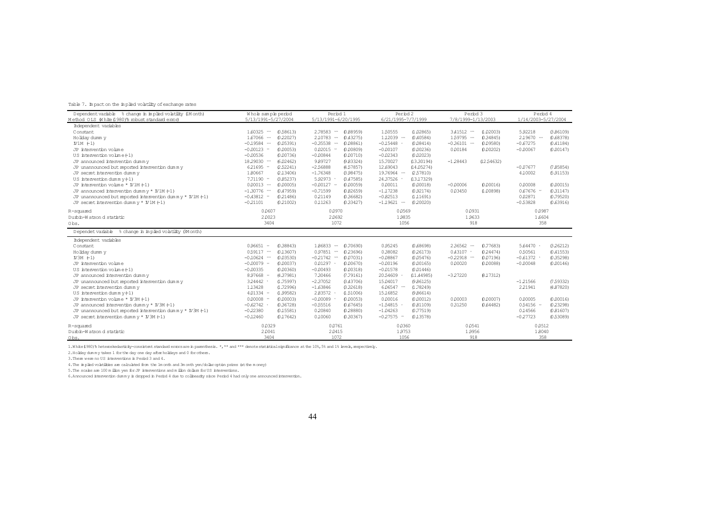|  |  |  |  | Table 7. In pact on the inplied volatility of exchange rates |  |
|--|--|--|--|--------------------------------------------------------------|--|
|--|--|--|--|--------------------------------------------------------------|--|

| Dependent variable % change in implied volatility (IM onth)      | Whole sample period           | Period 1                              | Period 2                        | Period 3                     | Period 4                        |
|------------------------------------------------------------------|-------------------------------|---------------------------------------|---------------------------------|------------------------------|---------------------------------|
| Method OLS White (1980)'s robust standard enror)                 | 5/13/1991-5/27/2004           | 5/13/1991-6/20/1995                   | 6/21/1995-7/7/1999              | 7/8/1999-1/13/2003           | 1/14/2003-5/27/2004             |
| Independent variables                                            |                               |                                       |                                 |                              |                                 |
| Constant                                                         | $160325$<br>(0.58613)         | 2,78583<br>(0.88959)<br>$\cdots$      | 1,50555<br>(1.02865)            | $3.41512 -$<br>(1.02003)     | 5.92218<br>G 86109)             |
| Holiday dumm y                                                   | $167066$<br>(0.22027)         | 2,10783<br>(0.43275)<br>$\cdots$      | $1.12039 -$<br>0.40584          | $1.59795$<br>0.34845         | $2.19670$<br>(0.68378)          |
| W1M (1)                                                          | $-0.19584$<br>(0.05391)       | $-0.35538$<br>(0.08861)<br>           | $-0.15448$<br>0.08414           | $-0.36101$<br>0.09580        | $-0.67275$<br>0.41184           |
| JP intervention volume                                           | $-0.00123 -$<br>(0.00053)     | 0.02015<br>(0.00809)<br>$\rightarrow$ | $-0.00107$<br>(0.00236)         | 0.00184<br>(0.00202)         | $-0.00067$<br>(0.00147)         |
| US intervention volume (-1)                                      | $-0.00536$<br>(0.00736)       | $-0.00844$<br>(0.00710)               | $-0.02343$<br>(0.02023)         |                              |                                 |
| JP announced intervention dummy                                  | 18 29 030<br>(6.02462)        | 989727<br>(9.83324)                   | 15,70027<br>(13.30194)          | 02 54 632)<br>$-1.28443$     |                                 |
| JP unannounced but reported intervention dummy                   | $621695 -$<br>(2.52241)       | $-2.56888$<br>(4.57857)               | 12,69043<br>(14.05274)          |                              | (7.85854)<br>$-0.07677$         |
| JP secret intervention dummy                                     | 180667<br>(2.13406)           | $-1.76348$<br>(3.98475)               | 19,76964<br>(2.57810)           |                              | 4,10002<br>(5.91153)            |
| US intervention dummy $(1)$                                      | $7.71190 -$<br>(385237)       | 5.92973<br>G 47585)                   | 24,37526<br>(13, 17329)         |                              |                                 |
| JP intervention volume * IV1M (-1)                               | $0.00013$<br>(0.00005)        | $-0.00127$<br>(0.00059)<br>- 44       | 0.00011<br>(0.00018)            | 0.00016<br>$-0.00006$        | 0.00008<br>0.00015              |
| JP announced intervention dummy $*$ $M/M$ (-1)                   | $-1.30776$<br>(0.47959)       | $-0.71599$<br>(0.82659)               | (0.92174)<br>$-1.17238$         | 0.03450<br>(1.00898)         | $0.67676 -$<br>(0.31147)        |
| JP unannounced but reported intervention dummy $*$ $N$ 1M $(-1)$ | $-0.43812 -$<br>(0.21486)     | 021149<br>(0.36682)                   | $-0.82513$<br>(1.11691)         |                              | 0.02871<br>(0.79520)            |
| JP secret intervention dumm $y * I M (-1)$                       | $-0.21101$<br>(0.21002)       | 0.11263<br>(0.33427)                  | $-1.19621$<br>(0.20020)         |                              | $-0.53828$<br>(0.63916)         |
| R-squared                                                        | 0.0607                        | 0.0970                                | 0.0569                          | 0.0931                       | 0.0987                          |
| Durbin-Watson d statistic                                        | 2.0023                        | 20692                                 | 1,9835                          | 1.9633                       | 1,6604                          |
| Obs.                                                             | 3404                          | 1072                                  | 1056                            | 918                          | 358                             |
| Dependet variable % change in implied volatility (3M onth)       |                               |                                       |                                 |                              |                                 |
| Independent variables                                            |                               |                                       |                                 |                              |                                 |
| Constant                                                         | $0.96651 -$<br>(0.38843)      | 186833<br>(0.70690)<br>$\cdots$       | 0.95245<br>(0.68698)            | 2.36562<br>0.77683<br>       | $5.64470$ $\cdot$<br>(3, 26212) |
| Holiday dumm y                                                   | $0.59117$<br>(0.13607)        | 0.97851<br>(0.23696)<br>$\cdots$      | 0.38082<br>(0.26173)            | $0.43107$ $\cdot$<br>0.24474 | 0.50561<br>(0.41553)            |
| $N3M$ $(-1)$                                                     | $-0.10624$<br>(0.03530)       | $-0.21742$<br>(0.07031)               | $-0.08867$<br>(0.05476)         | $-0.22918$<br>0.07196)       | $-0.61372$ $\cdot$<br>(0.35298) |
| JP intervention volume                                           | $-0.00079$ $-$<br>(0.00037)   | 0.01297<br>(0.00670)                  | $-0.00196$<br>(0.00165)         | 0.00020<br>(0.00088)         | $-0.00048$<br>(0.00146)         |
| US intervention $volume(-1)$                                     | $-0.00335$<br>(0.00360)       | $-0.00493$<br>(0.00318)               | $-0.01578$<br>(0.01446)         |                              |                                 |
| JP announced intervention dummy                                  | 8.97668 **<br>(4.37981)       | 7,30466<br>(7.79161)                  | 20,54609<br>(11,44985)          | $-3,27220$<br>8 1 7 3 1 2 )  |                                 |
| JP unannounced but reported intervention dummy                   | $324442$ $\cdot$<br>(1.75997) | $-2.37052$<br>GA3706)                 | 15,04017<br>0.86125             |                              | $-1,21566$<br>(7.59332)         |
| JP secret intervention dummy                                     | 1,13428<br>(1.72996)          | $-1.63846$<br>(3.32618)               | $6.06547$<br>(1.78249)          |                              | 2 2 1 9 4 1<br>(4.87820)        |
| US intervention dumm $y$ $(1)$                                   | $401334 -$<br>(1.99582)       | 283572<br>(1.51006)                   | 15,16852<br>(9.86614)           |                              |                                 |
| JP intervention volume * IV3M (-1)                               | $0.00008 -$<br>(0.00003)      | $-0.00089$<br>(0.00053)               | 0.00016<br>(0.00012)            | 0.00003<br>0.00007           | 0.00005<br>(0.00016)            |
| JP announced intervention dummy $*$ $N3M$ (-1)                   | $-0.62742$ ·<br>(0.36728)     | $-0.55516$<br>(0.67645)               | $-1.54815$ $\cdot$<br>(0.81109) | 0.31250<br>0.64482           | $0.54156 -$<br>(0.23298)        |
| JP unannounced but reported intervention dummy $*$ $N$ 3M $(+1)$ | $-0.22380$<br>(0.15581)       | 0.20840<br>(0.28880)                  | (0.77519)<br>$-1.04263$         |                              | 0.14566<br>(0.81607)            |
| JP secret intervention dummy $*$ $N$ 3M $(-1)$                   | $-0.12460$<br>(0.17642)       | 0,10060<br>(0.30367)                  | $-0.27575$ $-$<br>(0.13578)     |                              | $-0.27723$<br>(0.53089)         |
| R-squared                                                        | 0.0329                        | 0.0761                                | 0.0360                          | 0.0541                       | 0.0512                          |
| Durbin-Watson d statistic                                        | 2.0041                        | 20415                                 | 1.9753                          | 1.9956                       | 1,8040                          |
| Obs.                                                             | 3404                          | 1072                                  | 1056                            | 918                          | 358                             |

1.White(1980)'s heteroskedasticity-consistent standard errors are in parenthesis. \*,\*\* and \*\*\* denote statistical significance at the 10%,5% and 1% levels, respectively.

2.Holiday dum my takes 1 forthe day one day afterholidays and 0 forothers.

3.There were no US interventions in Period 3 and 4.

4.The im plied volatilities are calculated from the 1month and 3m onth yen/dollaroption prices (atthe m oney).

5.The scales are 100 m illion yen forJP interventions and m illion dollars forUS interventions.

6. Announced intervention dumm  $y$  is dropped in Period 4 due to collinearity since Period 4 had only one announced intervention.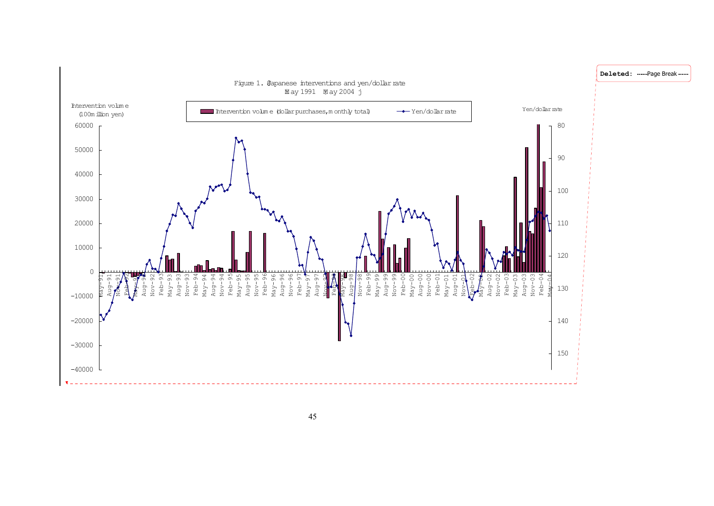

45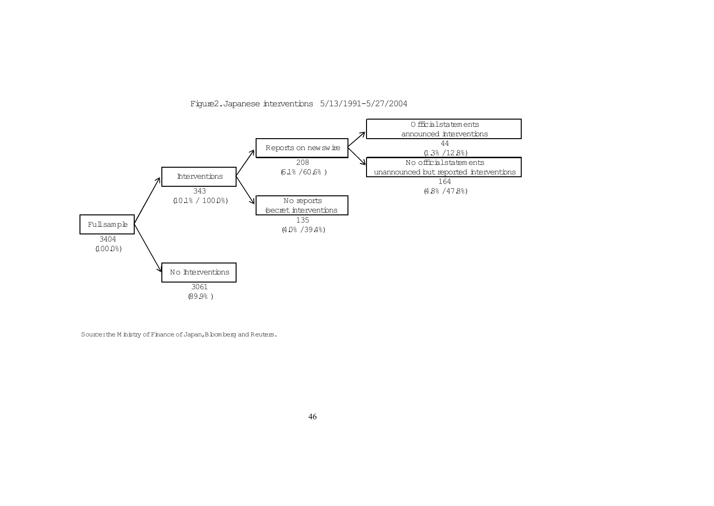

Figure2.Japanese interventions 5/13/1991-5/27/2004

Source: the M inistry of Finance of Japan, B bomberg and Reuters.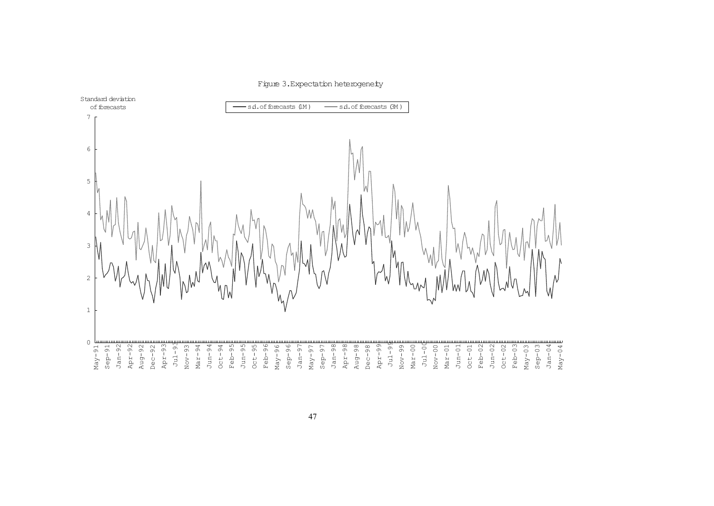#### Figure 3. Expectation heterogeneity

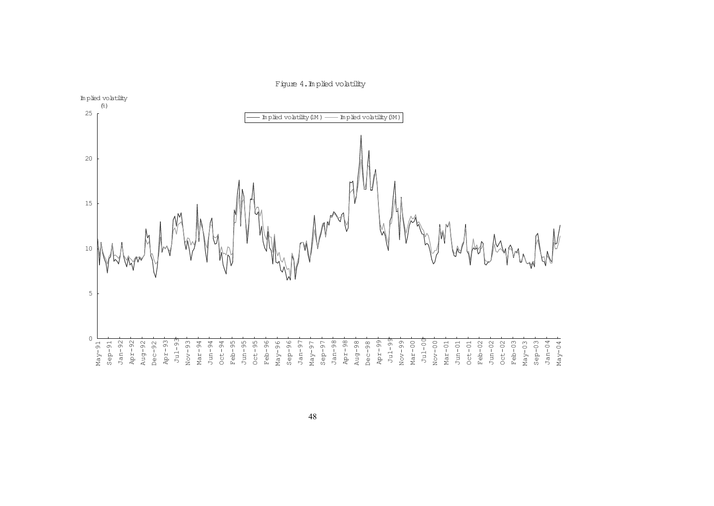

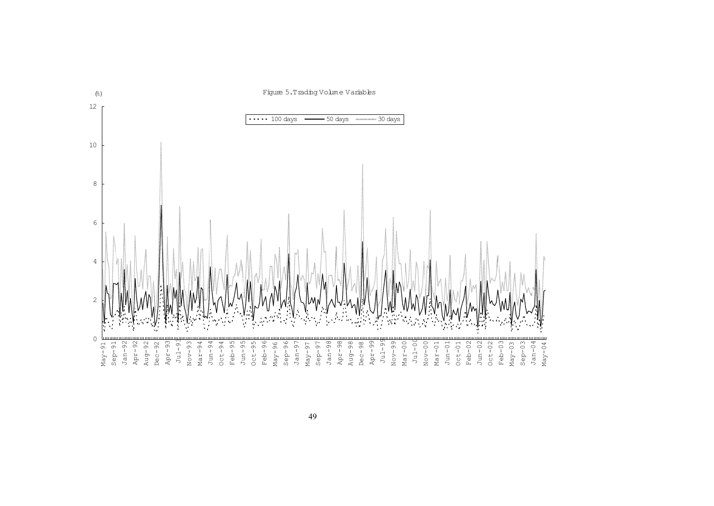